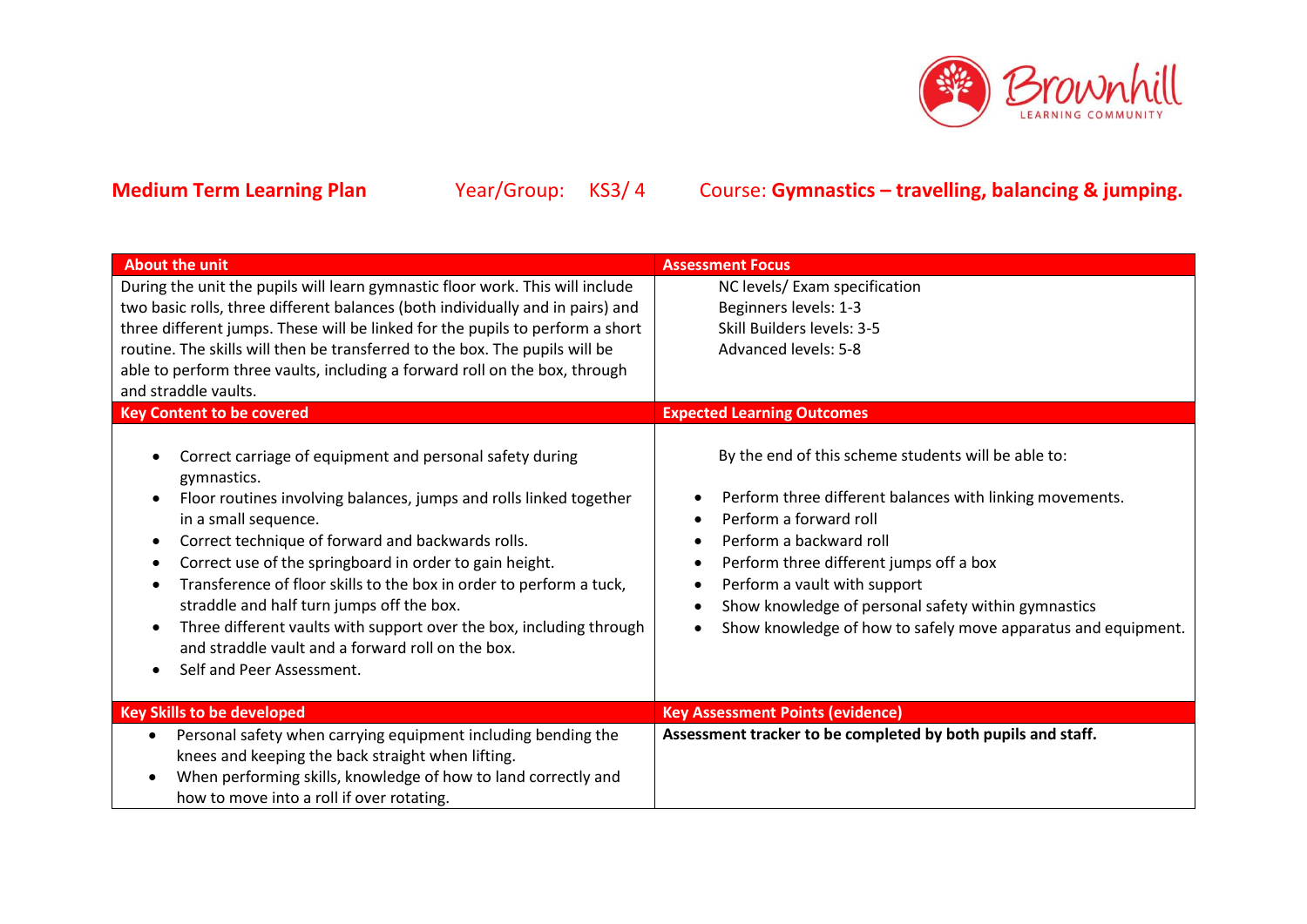

| <b>About the unit</b>                                                                                                                                                                                                                                                                                                                                                                                                                                                                                                                                                                        | <b>Assessment Focus</b>                                                                                                                                                                                                                                                                                                                                                                     |
|----------------------------------------------------------------------------------------------------------------------------------------------------------------------------------------------------------------------------------------------------------------------------------------------------------------------------------------------------------------------------------------------------------------------------------------------------------------------------------------------------------------------------------------------------------------------------------------------|---------------------------------------------------------------------------------------------------------------------------------------------------------------------------------------------------------------------------------------------------------------------------------------------------------------------------------------------------------------------------------------------|
| During the unit the pupils will learn gymnastic floor work. This will include<br>two basic rolls, three different balances (both individually and in pairs) and<br>three different jumps. These will be linked for the pupils to perform a short<br>routine. The skills will then be transferred to the box. The pupils will be<br>able to perform three vaults, including a forward roll on the box, through<br>and straddle vaults.<br><b>Key Content to be covered</b>                                                                                                                    | NC levels/ Exam specification<br>Beginners levels: 1-3<br>Skill Builders levels: 3-5<br><b>Advanced levels: 5-8</b><br><b>Expected Learning Outcomes</b>                                                                                                                                                                                                                                    |
| Correct carriage of equipment and personal safety during<br>gymnastics.<br>Floor routines involving balances, jumps and rolls linked together<br>in a small sequence.<br>Correct technique of forward and backwards rolls.<br>$\bullet$<br>Correct use of the springboard in order to gain height.<br>$\bullet$<br>Transference of floor skills to the box in order to perform a tuck,<br>straddle and half turn jumps off the box.<br>Three different vaults with support over the box, including through<br>and straddle vault and a forward roll on the box.<br>Self and Peer Assessment. | By the end of this scheme students will be able to:<br>Perform three different balances with linking movements.<br>Perform a forward roll<br>Perform a backward roll<br>٠<br>Perform three different jumps off a box<br>٠<br>Perform a vault with support<br>٠<br>Show knowledge of personal safety within gymnastics<br>٠<br>Show knowledge of how to safely move apparatus and equipment. |
| <b>Key Skills to be developed</b>                                                                                                                                                                                                                                                                                                                                                                                                                                                                                                                                                            | <b>Key Assessment Points (evidence)</b>                                                                                                                                                                                                                                                                                                                                                     |
| Personal safety when carrying equipment including bending the<br>$\bullet$<br>knees and keeping the back straight when lifting.<br>When performing skills, knowledge of how to land correctly and<br>how to move into a roll if over rotating.                                                                                                                                                                                                                                                                                                                                               | Assessment tracker to be completed by both pupils and staff.                                                                                                                                                                                                                                                                                                                                |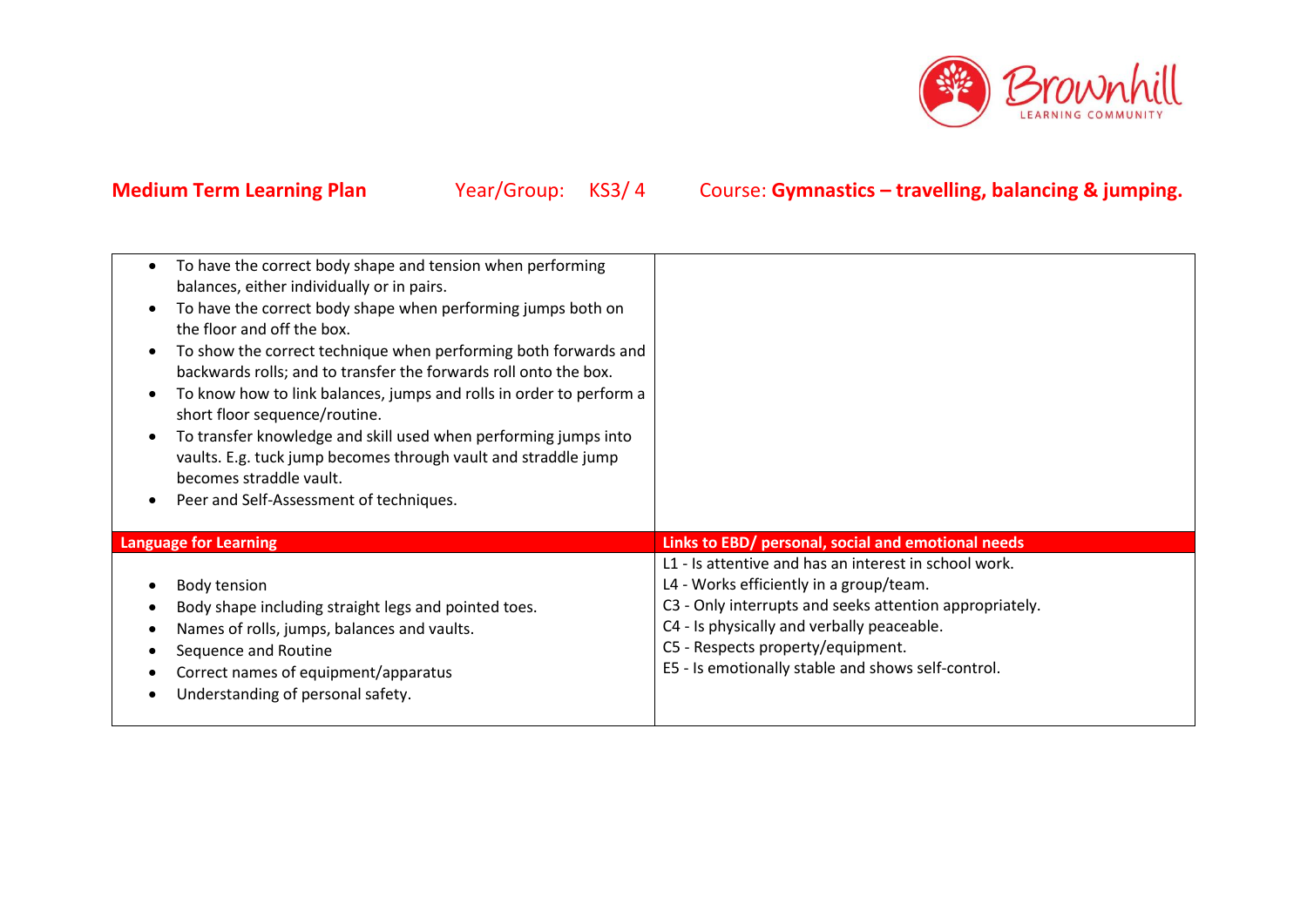

| To have the correct body shape and tension when performing<br>balances, either individually or in pairs.<br>To have the correct body shape when performing jumps both on<br>the floor and off the box.<br>To show the correct technique when performing both forwards and<br>backwards rolls; and to transfer the forwards roll onto the box.<br>To know how to link balances, jumps and rolls in order to perform a<br>short floor sequence/routine.<br>To transfer knowledge and skill used when performing jumps into<br>vaults. E.g. tuck jump becomes through vault and straddle jump<br>becomes straddle vault.<br>Peer and Self-Assessment of techniques. |                                                                                                                                                                                                                                                                                                      |
|------------------------------------------------------------------------------------------------------------------------------------------------------------------------------------------------------------------------------------------------------------------------------------------------------------------------------------------------------------------------------------------------------------------------------------------------------------------------------------------------------------------------------------------------------------------------------------------------------------------------------------------------------------------|------------------------------------------------------------------------------------------------------------------------------------------------------------------------------------------------------------------------------------------------------------------------------------------------------|
| <b>Language for Learning</b>                                                                                                                                                                                                                                                                                                                                                                                                                                                                                                                                                                                                                                     | Links to EBD/ personal, social and emotional needs                                                                                                                                                                                                                                                   |
| Body tension<br>Body shape including straight legs and pointed toes.<br>Names of rolls, jumps, balances and vaults.<br>Sequence and Routine<br>Correct names of equipment/apparatus<br>Understanding of personal safety.                                                                                                                                                                                                                                                                                                                                                                                                                                         | L1 - Is attentive and has an interest in school work.<br>L4 - Works efficiently in a group/team.<br>C3 - Only interrupts and seeks attention appropriately.<br>C4 - Is physically and verbally peaceable.<br>C5 - Respects property/equipment.<br>E5 - Is emotionally stable and shows self-control. |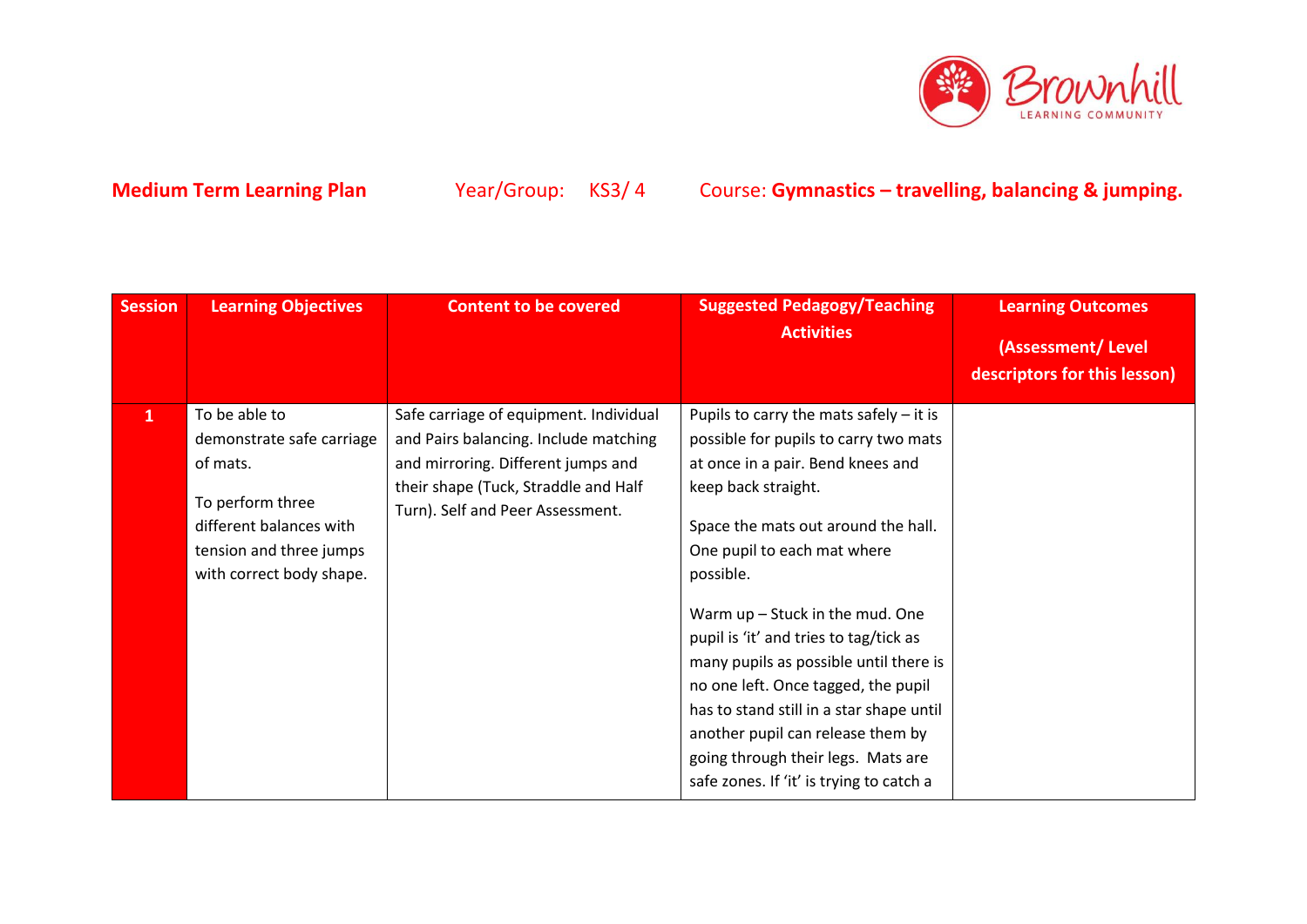

| <b>Session</b> | <b>Learning Objectives</b>                                                                                                                                   | <b>Content to be covered</b>                                                                                                                                                                      | <b>Suggested Pedagogy/Teaching</b><br><b>Activities</b>                                                                                                                                                                                                                                                                                                                                                                                                                                                                                                              | <b>Learning Outcomes</b><br>(Assessment/Level<br>descriptors for this lesson) |
|----------------|--------------------------------------------------------------------------------------------------------------------------------------------------------------|---------------------------------------------------------------------------------------------------------------------------------------------------------------------------------------------------|----------------------------------------------------------------------------------------------------------------------------------------------------------------------------------------------------------------------------------------------------------------------------------------------------------------------------------------------------------------------------------------------------------------------------------------------------------------------------------------------------------------------------------------------------------------------|-------------------------------------------------------------------------------|
| $\mathbf{1}$   | To be able to<br>demonstrate safe carriage<br>of mats.<br>To perform three<br>different balances with<br>tension and three jumps<br>with correct body shape. | Safe carriage of equipment. Individual<br>and Pairs balancing. Include matching<br>and mirroring. Different jumps and<br>their shape (Tuck, Straddle and Half<br>Turn). Self and Peer Assessment. | Pupils to carry the mats safely $-$ it is<br>possible for pupils to carry two mats<br>at once in a pair. Bend knees and<br>keep back straight.<br>Space the mats out around the hall.<br>One pupil to each mat where<br>possible.<br>Warm $up$ – Stuck in the mud. One<br>pupil is 'it' and tries to tag/tick as<br>many pupils as possible until there is<br>no one left. Once tagged, the pupil<br>has to stand still in a star shape until<br>another pupil can release them by<br>going through their legs. Mats are<br>safe zones. If 'it' is trying to catch a |                                                                               |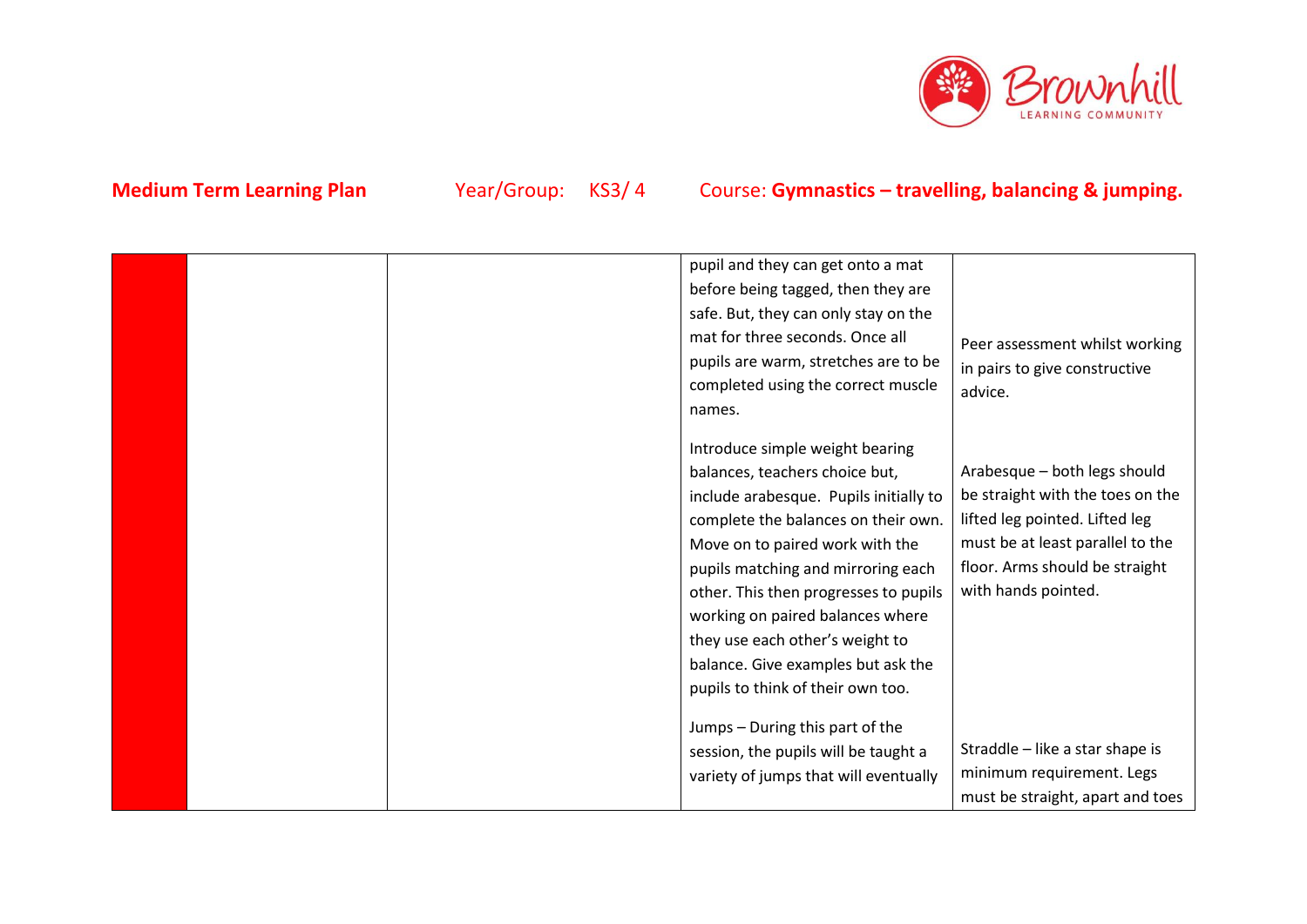

| pupil and they can get onto a mat      |                                  |
|----------------------------------------|----------------------------------|
| before being tagged, then they are     |                                  |
| safe. But, they can only stay on the   |                                  |
| mat for three seconds. Once all        | Peer assessment whilst working   |
| pupils are warm, stretches are to be   | in pairs to give constructive    |
| completed using the correct muscle     | advice.                          |
| names.                                 |                                  |
|                                        |                                  |
| Introduce simple weight bearing        |                                  |
| balances, teachers choice but,         | Arabesque - both legs should     |
| include arabesque. Pupils initially to | be straight with the toes on the |
| complete the balances on their own.    | lifted leg pointed. Lifted leg   |
| Move on to paired work with the        | must be at least parallel to the |
| pupils matching and mirroring each     | floor. Arms should be straight   |
| other. This then progresses to pupils  | with hands pointed.              |
| working on paired balances where       |                                  |
| they use each other's weight to        |                                  |
| balance. Give examples but ask the     |                                  |
| pupils to think of their own too.      |                                  |
|                                        |                                  |
| Jumps - During this part of the        |                                  |
| session, the pupils will be taught a   | Straddle - like a star shape is  |
| variety of jumps that will eventually  | minimum requirement. Legs        |
|                                        | must be straight, apart and toes |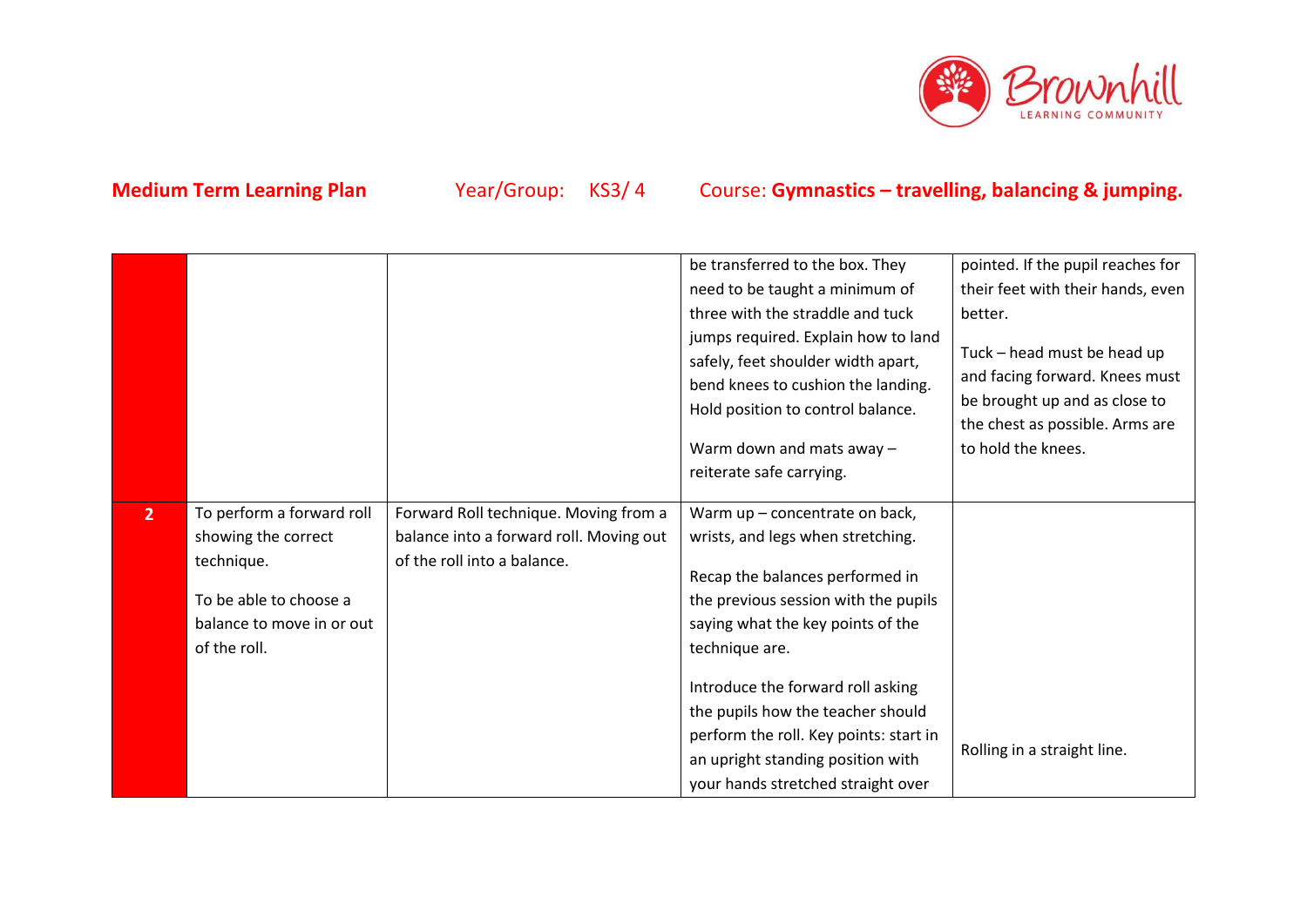

|                |                           |                                         | be transferred to the box. They        | pointed. If the pupil reaches for |
|----------------|---------------------------|-----------------------------------------|----------------------------------------|-----------------------------------|
|                |                           |                                         | need to be taught a minimum of         | their feet with their hands, even |
|                |                           |                                         | three with the straddle and tuck       | better.                           |
|                |                           |                                         | jumps required. Explain how to land    |                                   |
|                |                           |                                         | safely, feet shoulder width apart,     | Tuck - head must be head up       |
|                |                           |                                         | bend knees to cushion the landing.     | and facing forward. Knees must    |
|                |                           |                                         | Hold position to control balance.      | be brought up and as close to     |
|                |                           |                                         |                                        | the chest as possible. Arms are   |
|                |                           |                                         | Warm down and mats away -              | to hold the knees.                |
|                |                           |                                         | reiterate safe carrying.               |                                   |
| 2 <sup>2</sup> | To perform a forward roll | Forward Roll technique. Moving from a   | Warm up - concentrate on back,         |                                   |
|                | showing the correct       | balance into a forward roll. Moving out | wrists, and legs when stretching.      |                                   |
|                | technique.                | of the roll into a balance.             |                                        |                                   |
|                |                           |                                         | Recap the balances performed in        |                                   |
|                | To be able to choose a    |                                         | the previous session with the pupils   |                                   |
|                | balance to move in or out |                                         | saying what the key points of the      |                                   |
|                | of the roll.              |                                         | technique are.                         |                                   |
|                |                           |                                         |                                        |                                   |
|                |                           |                                         | Introduce the forward roll asking      |                                   |
|                |                           |                                         | the pupils how the teacher should      |                                   |
|                |                           |                                         | perform the roll. Key points: start in | Rolling in a straight line.       |
|                |                           |                                         | an upright standing position with      |                                   |
|                |                           |                                         | your hands stretched straight over     |                                   |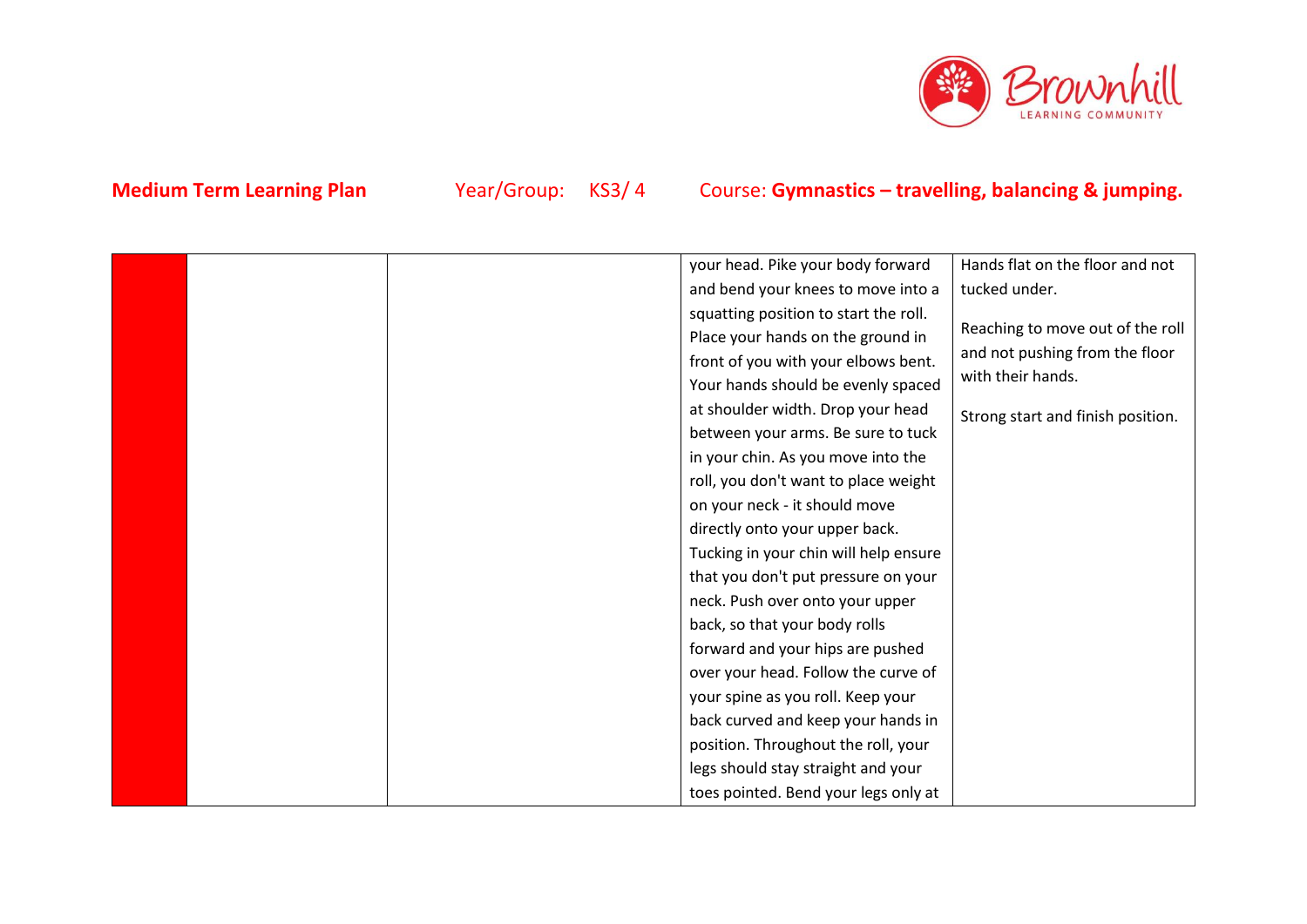

|  | your head. Pike your body forward     | Hands flat on the floor and not   |
|--|---------------------------------------|-----------------------------------|
|  | and bend your knees to move into a    | tucked under.                     |
|  | squatting position to start the roll. |                                   |
|  | Place your hands on the ground in     | Reaching to move out of the roll  |
|  | front of you with your elbows bent.   | and not pushing from the floor    |
|  | Your hands should be evenly spaced    | with their hands.                 |
|  | at shoulder width. Drop your head     | Strong start and finish position. |
|  | between your arms. Be sure to tuck    |                                   |
|  | in your chin. As you move into the    |                                   |
|  | roll, you don't want to place weight  |                                   |
|  | on your neck - it should move         |                                   |
|  | directly onto your upper back.        |                                   |
|  | Tucking in your chin will help ensure |                                   |
|  | that you don't put pressure on your   |                                   |
|  | neck. Push over onto your upper       |                                   |
|  | back, so that your body rolls         |                                   |
|  | forward and your hips are pushed      |                                   |
|  | over your head. Follow the curve of   |                                   |
|  | your spine as you roll. Keep your     |                                   |
|  | back curved and keep your hands in    |                                   |
|  | position. Throughout the roll, your   |                                   |
|  | legs should stay straight and your    |                                   |
|  | toes pointed. Bend your legs only at  |                                   |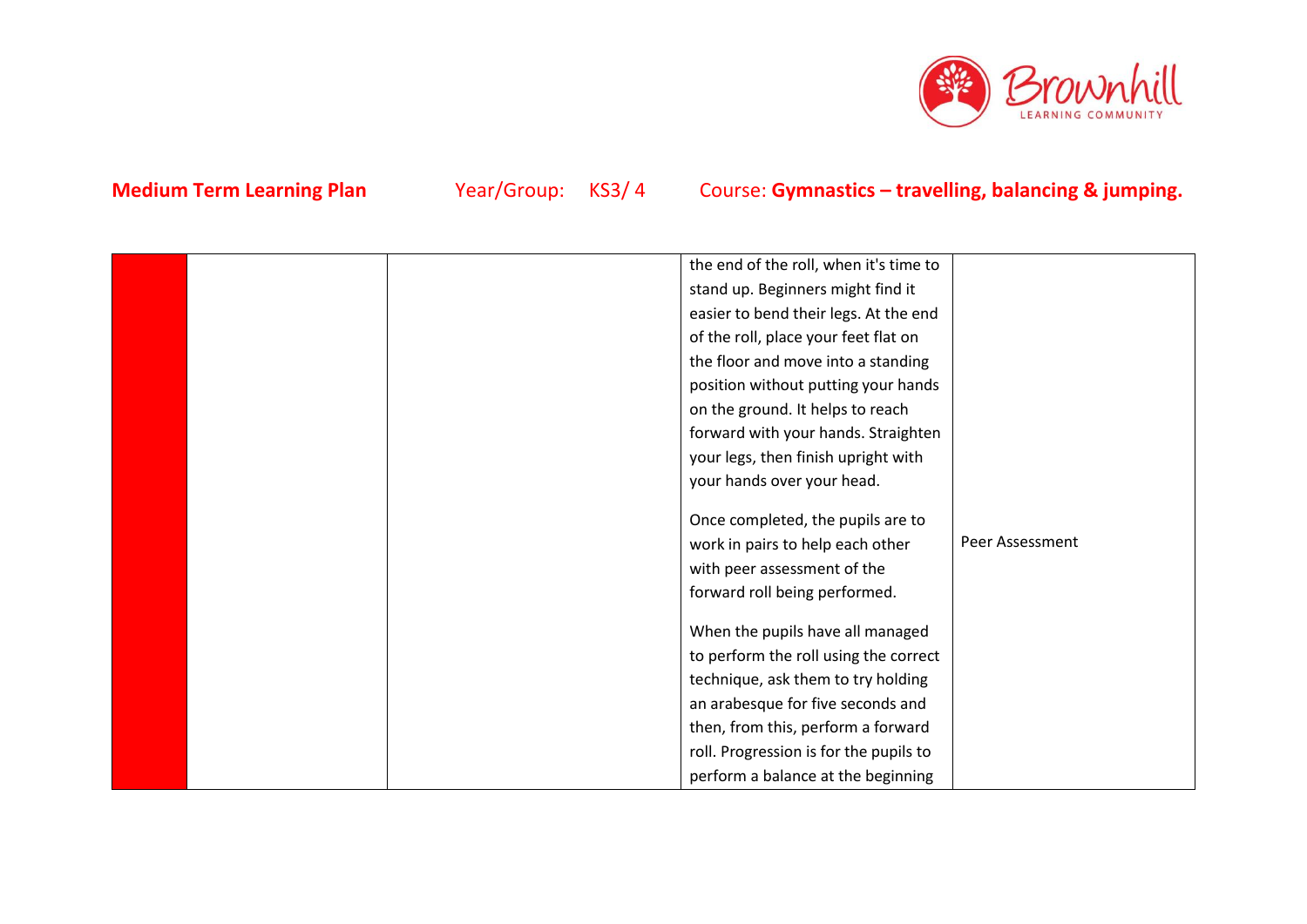

|  | the end of the roll, when it's time to |                 |
|--|----------------------------------------|-----------------|
|  |                                        |                 |
|  | stand up. Beginners might find it      |                 |
|  | easier to bend their legs. At the end  |                 |
|  | of the roll, place your feet flat on   |                 |
|  | the floor and move into a standing     |                 |
|  | position without putting your hands    |                 |
|  | on the ground. It helps to reach       |                 |
|  | forward with your hands. Straighten    |                 |
|  | your legs, then finish upright with    |                 |
|  | your hands over your head.             |                 |
|  |                                        |                 |
|  | Once completed, the pupils are to      |                 |
|  | work in pairs to help each other       | Peer Assessment |
|  | with peer assessment of the            |                 |
|  | forward roll being performed.          |                 |
|  |                                        |                 |
|  | When the pupils have all managed       |                 |
|  | to perform the roll using the correct  |                 |
|  | technique, ask them to try holding     |                 |
|  | an arabesque for five seconds and      |                 |
|  | then, from this, perform a forward     |                 |
|  | roll. Progression is for the pupils to |                 |
|  | perform a balance at the beginning     |                 |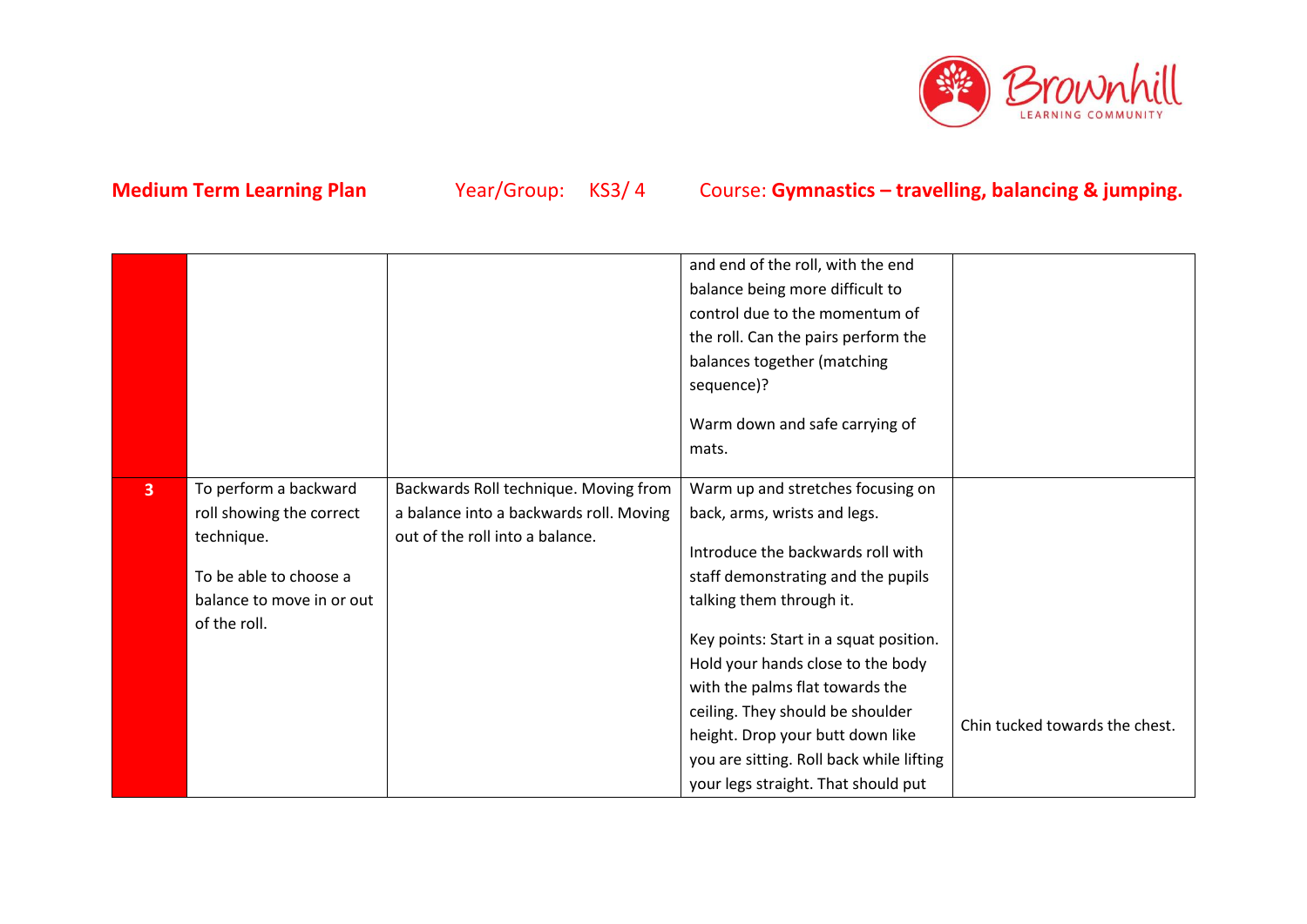

|                |                                                                                                                                        |                                                                                                                     | and end of the roll, with the end<br>balance being more difficult to<br>control due to the momentum of<br>the roll. Can the pairs perform the<br>balances together (matching<br>sequence)?<br>Warm down and safe carrying of<br>mats.                                                                                                                                                                                                                 |                                |
|----------------|----------------------------------------------------------------------------------------------------------------------------------------|---------------------------------------------------------------------------------------------------------------------|-------------------------------------------------------------------------------------------------------------------------------------------------------------------------------------------------------------------------------------------------------------------------------------------------------------------------------------------------------------------------------------------------------------------------------------------------------|--------------------------------|
| $\overline{3}$ | To perform a backward<br>roll showing the correct<br>technique.<br>To be able to choose a<br>balance to move in or out<br>of the roll. | Backwards Roll technique. Moving from<br>a balance into a backwards roll. Moving<br>out of the roll into a balance. | Warm up and stretches focusing on<br>back, arms, wrists and legs.<br>Introduce the backwards roll with<br>staff demonstrating and the pupils<br>talking them through it.<br>Key points: Start in a squat position.<br>Hold your hands close to the body<br>with the palms flat towards the<br>ceiling. They should be shoulder<br>height. Drop your butt down like<br>you are sitting. Roll back while lifting<br>your legs straight. That should put | Chin tucked towards the chest. |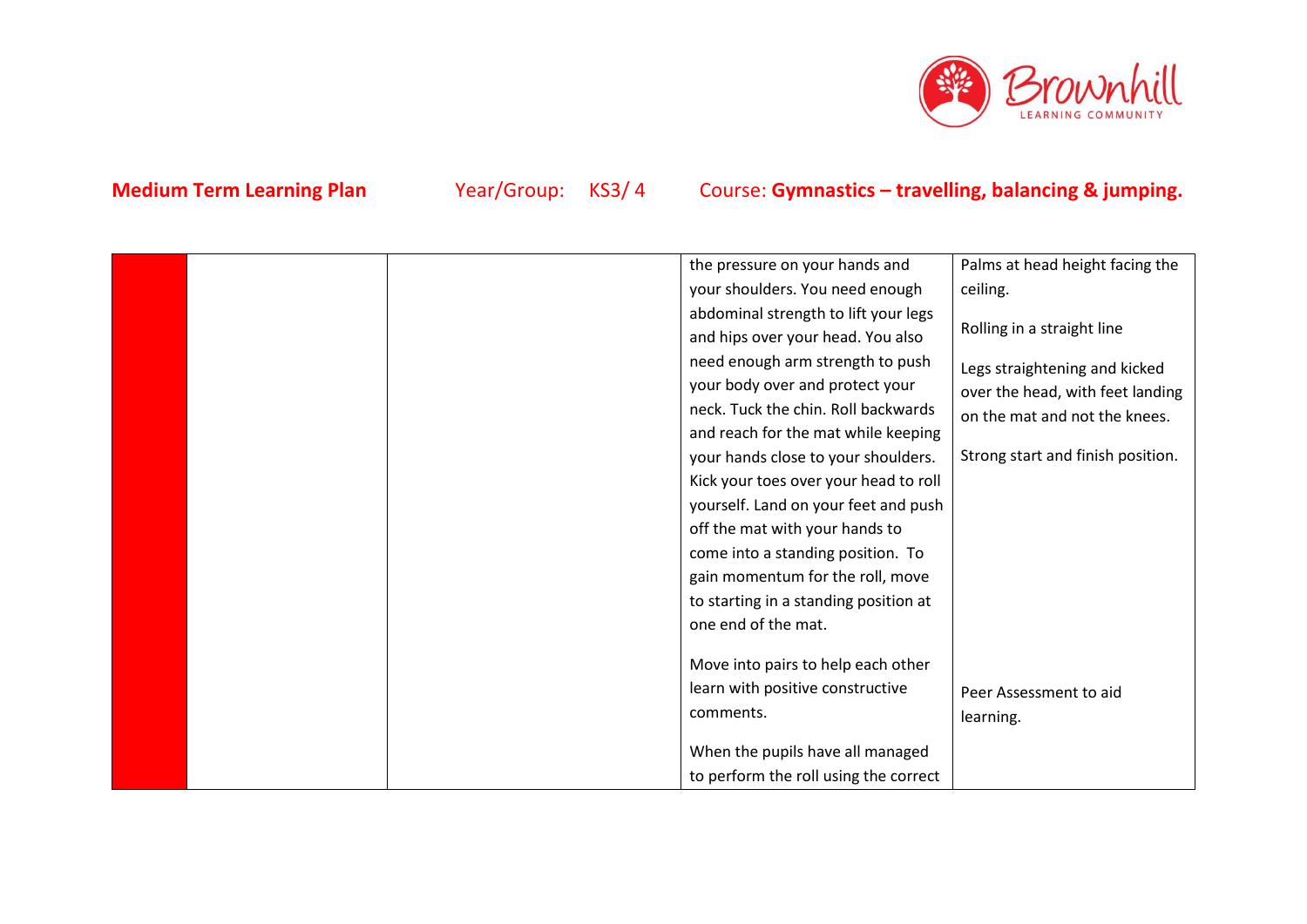

|  | the pressure on your hands and        | Palms at head height facing the   |
|--|---------------------------------------|-----------------------------------|
|  | your shoulders. You need enough       | ceiling.                          |
|  | abdominal strength to lift your legs  |                                   |
|  | and hips over your head. You also     | Rolling in a straight line        |
|  | need enough arm strength to push      | Legs straightening and kicked     |
|  | your body over and protect your       | over the head, with feet landing  |
|  | neck. Tuck the chin. Roll backwards   | on the mat and not the knees.     |
|  | and reach for the mat while keeping   |                                   |
|  | your hands close to your shoulders.   | Strong start and finish position. |
|  | Kick your toes over your head to roll |                                   |
|  | yourself. Land on your feet and push  |                                   |
|  | off the mat with your hands to        |                                   |
|  | come into a standing position. To     |                                   |
|  | gain momentum for the roll, move      |                                   |
|  | to starting in a standing position at |                                   |
|  | one end of the mat.                   |                                   |
|  |                                       |                                   |
|  | Move into pairs to help each other    |                                   |
|  | learn with positive constructive      | Peer Assessment to aid            |
|  | comments.                             | learning.                         |
|  | When the pupils have all managed      |                                   |
|  | to perform the roll using the correct |                                   |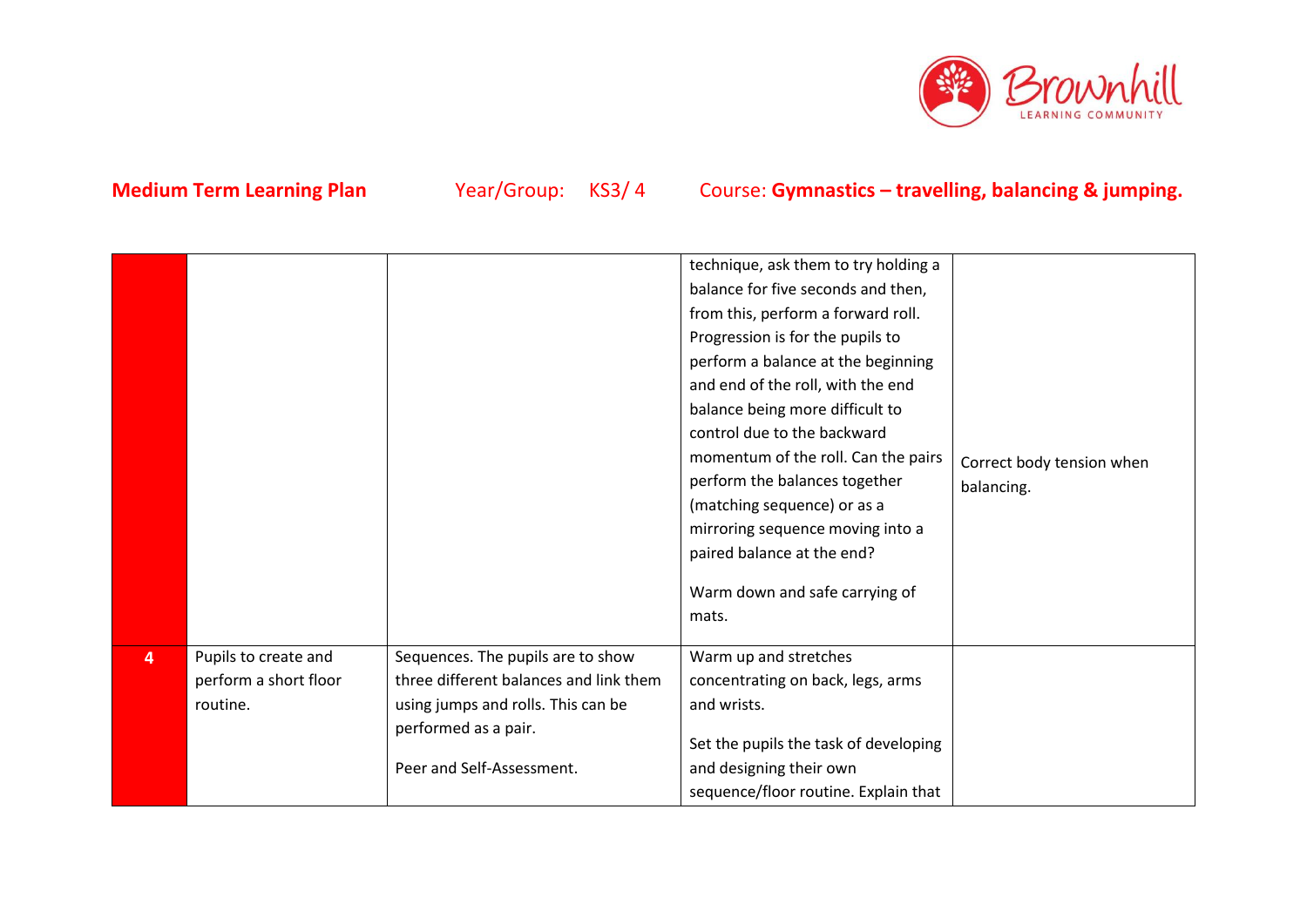

|   |                                                           |                                                                                                                                                                        | technique, ask them to try holding a<br>balance for five seconds and then,<br>from this, perform a forward roll.<br>Progression is for the pupils to<br>perform a balance at the beginning<br>and end of the roll, with the end<br>balance being more difficult to<br>control due to the backward<br>momentum of the roll. Can the pairs<br>perform the balances together<br>(matching sequence) or as a<br>mirroring sequence moving into a<br>paired balance at the end?<br>Warm down and safe carrying of<br>mats. | Correct body tension when<br>balancing. |
|---|-----------------------------------------------------------|------------------------------------------------------------------------------------------------------------------------------------------------------------------------|-----------------------------------------------------------------------------------------------------------------------------------------------------------------------------------------------------------------------------------------------------------------------------------------------------------------------------------------------------------------------------------------------------------------------------------------------------------------------------------------------------------------------|-----------------------------------------|
| 4 | Pupils to create and<br>perform a short floor<br>routine. | Sequences. The pupils are to show<br>three different balances and link them<br>using jumps and rolls. This can be<br>performed as a pair.<br>Peer and Self-Assessment. | Warm up and stretches<br>concentrating on back, legs, arms<br>and wrists.<br>Set the pupils the task of developing<br>and designing their own<br>sequence/floor routine. Explain that                                                                                                                                                                                                                                                                                                                                 |                                         |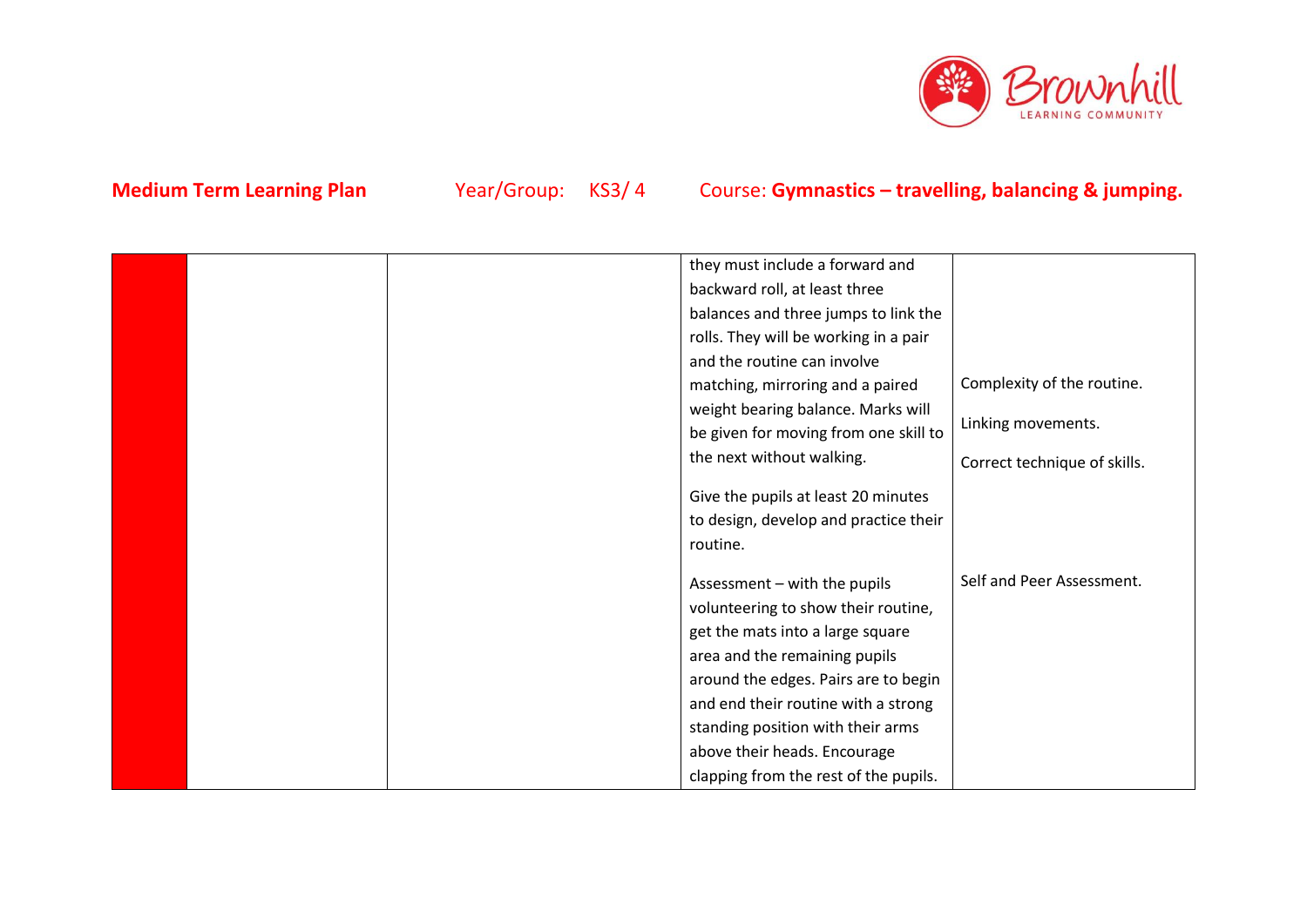

|  | they must include a forward and       |                              |
|--|---------------------------------------|------------------------------|
|  | backward roll, at least three         |                              |
|  | balances and three jumps to link the  |                              |
|  | rolls. They will be working in a pair |                              |
|  | and the routine can involve           |                              |
|  | matching, mirroring and a paired      | Complexity of the routine.   |
|  | weight bearing balance. Marks will    |                              |
|  | be given for moving from one skill to | Linking movements.           |
|  | the next without walking.             |                              |
|  |                                       | Correct technique of skills. |
|  | Give the pupils at least 20 minutes   |                              |
|  | to design, develop and practice their |                              |
|  | routine.                              |                              |
|  |                                       |                              |
|  | Assessment - with the pupils          | Self and Peer Assessment.    |
|  | volunteering to show their routine,   |                              |
|  | get the mats into a large square      |                              |
|  | area and the remaining pupils         |                              |
|  | around the edges. Pairs are to begin  |                              |
|  | and end their routine with a strong   |                              |
|  | standing position with their arms     |                              |
|  | above their heads. Encourage          |                              |
|  | clapping from the rest of the pupils. |                              |
|  |                                       |                              |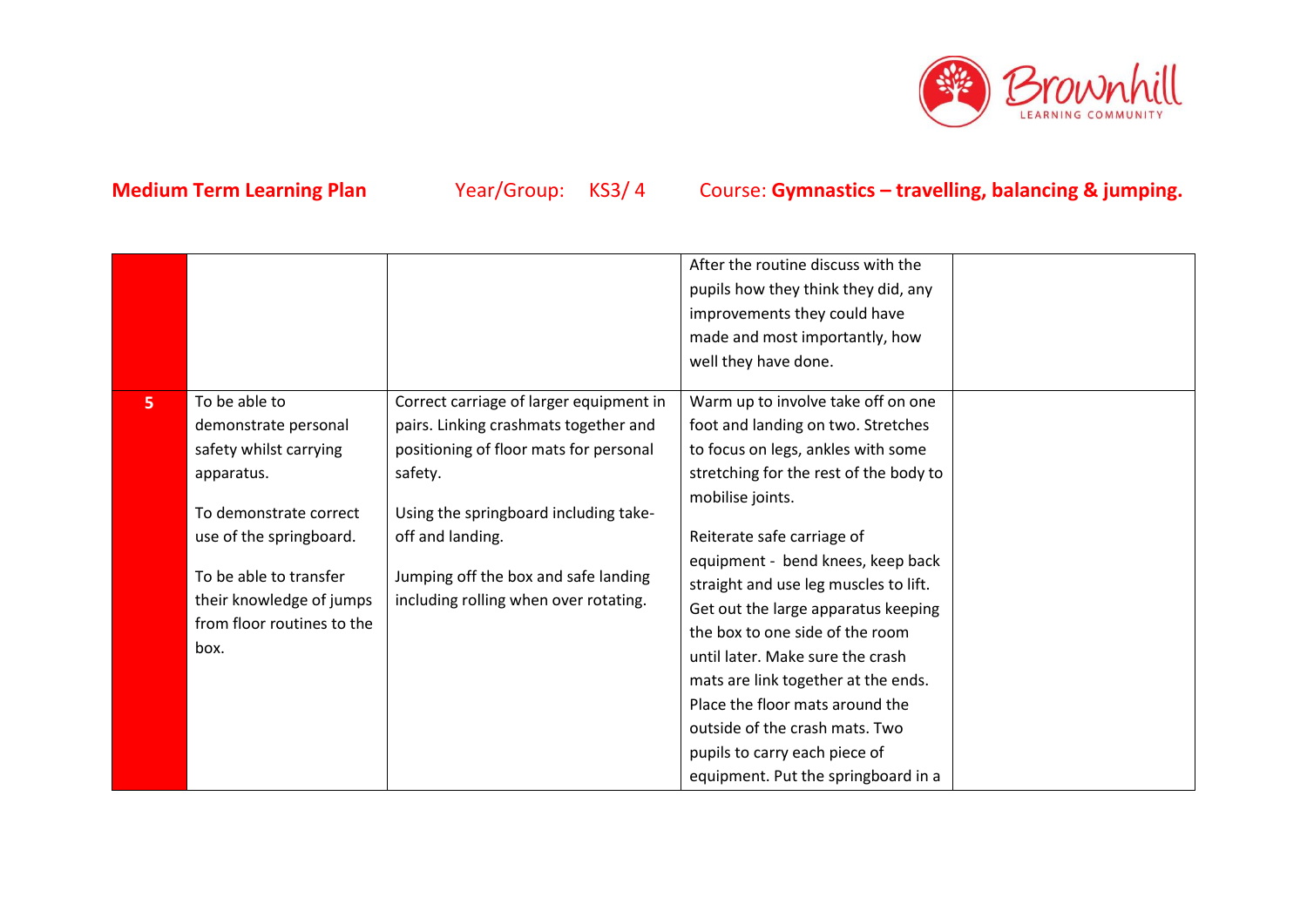

|                |                            |                                         | After the routine discuss with the     |  |
|----------------|----------------------------|-----------------------------------------|----------------------------------------|--|
|                |                            |                                         | pupils how they think they did, any    |  |
|                |                            |                                         | improvements they could have           |  |
|                |                            |                                         | made and most importantly, how         |  |
|                |                            |                                         | well they have done.                   |  |
|                |                            |                                         |                                        |  |
| 5 <sub>1</sub> | To be able to              | Correct carriage of larger equipment in | Warm up to involve take off on one     |  |
|                | demonstrate personal       | pairs. Linking crashmats together and   | foot and landing on two. Stretches     |  |
|                | safety whilst carrying     | positioning of floor mats for personal  | to focus on legs, ankles with some     |  |
|                | apparatus.                 | safety.                                 | stretching for the rest of the body to |  |
|                |                            |                                         | mobilise joints.                       |  |
|                | To demonstrate correct     | Using the springboard including take-   |                                        |  |
|                | use of the springboard.    | off and landing.                        | Reiterate safe carriage of             |  |
|                |                            |                                         | equipment - bend knees, keep back      |  |
|                | To be able to transfer     | Jumping off the box and safe landing    | straight and use leg muscles to lift.  |  |
|                | their knowledge of jumps   | including rolling when over rotating.   | Get out the large apparatus keeping    |  |
|                | from floor routines to the |                                         | the box to one side of the room        |  |
|                | box.                       |                                         | until later. Make sure the crash       |  |
|                |                            |                                         | mats are link together at the ends.    |  |
|                |                            |                                         | Place the floor mats around the        |  |
|                |                            |                                         | outside of the crash mats. Two         |  |
|                |                            |                                         | pupils to carry each piece of          |  |
|                |                            |                                         | equipment. Put the springboard in a    |  |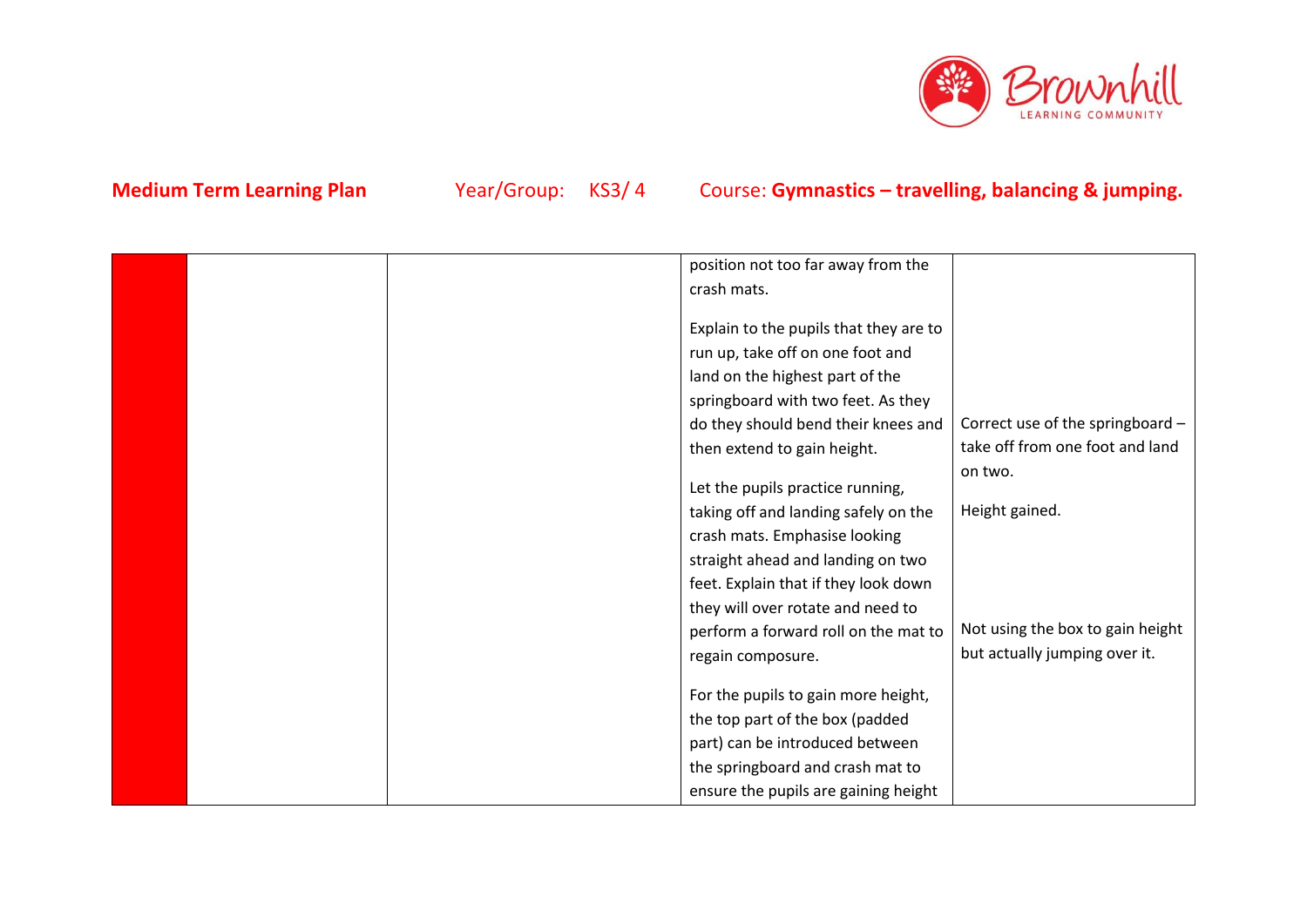

| Correct use of the springboard - |
|----------------------------------|
| take off from one foot and land  |
|                                  |
|                                  |
|                                  |
|                                  |
|                                  |
|                                  |
|                                  |
| Not using the box to gain height |
| but actually jumping over it.    |
|                                  |
|                                  |
|                                  |
|                                  |
|                                  |
|                                  |
|                                  |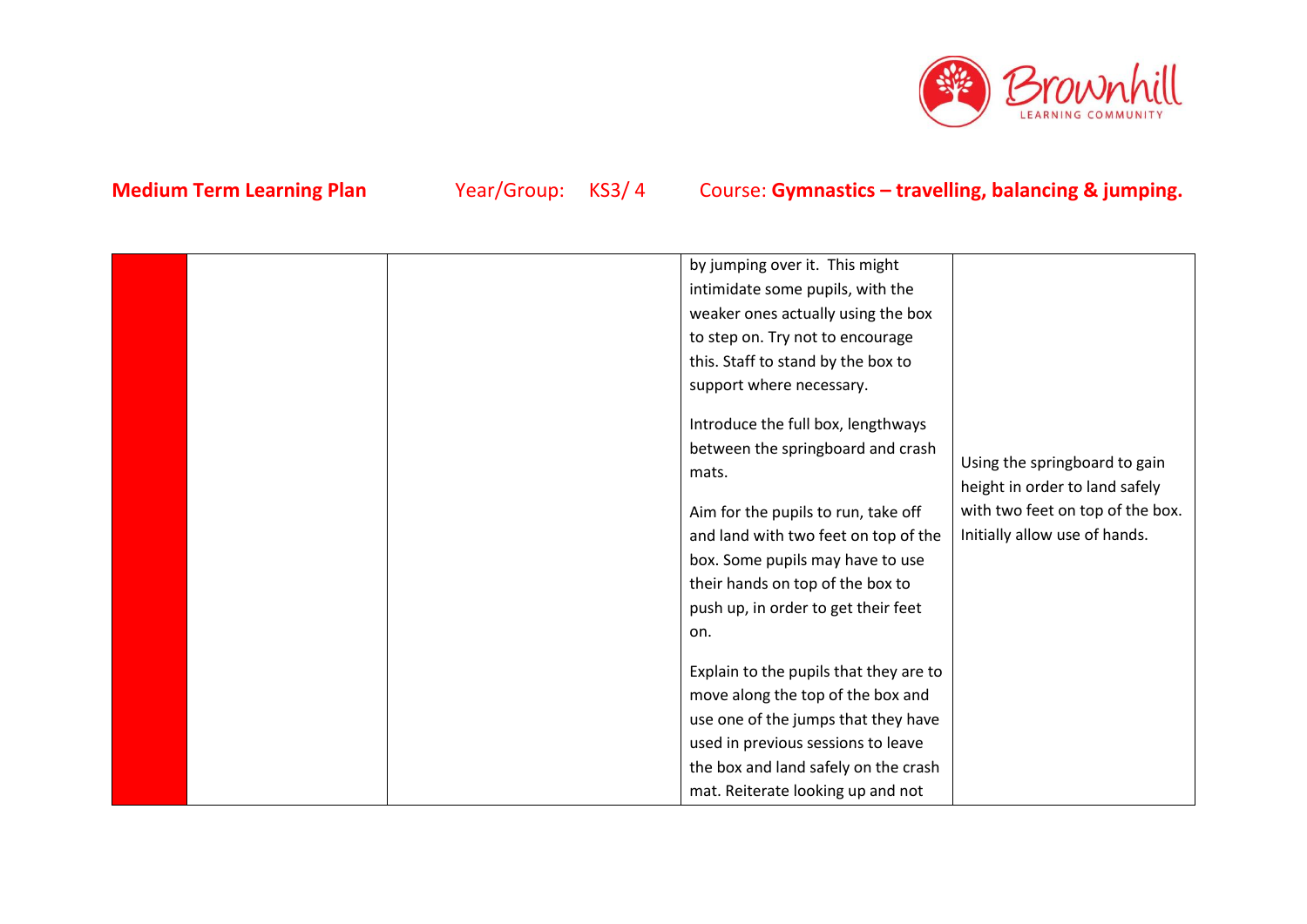

|  | by jumping over it. This might         |                                  |
|--|----------------------------------------|----------------------------------|
|  |                                        |                                  |
|  | intimidate some pupils, with the       |                                  |
|  | weaker ones actually using the box     |                                  |
|  | to step on. Try not to encourage       |                                  |
|  | this. Staff to stand by the box to     |                                  |
|  | support where necessary.               |                                  |
|  | Introduce the full box, lengthways     |                                  |
|  | between the springboard and crash      |                                  |
|  | mats.                                  | Using the springboard to gain    |
|  |                                        | height in order to land safely   |
|  | Aim for the pupils to run, take off    | with two feet on top of the box. |
|  | and land with two feet on top of the   | Initially allow use of hands.    |
|  | box. Some pupils may have to use       |                                  |
|  | their hands on top of the box to       |                                  |
|  | push up, in order to get their feet    |                                  |
|  | on.                                    |                                  |
|  | Explain to the pupils that they are to |                                  |
|  | move along the top of the box and      |                                  |
|  |                                        |                                  |
|  | use one of the jumps that they have    |                                  |
|  | used in previous sessions to leave     |                                  |
|  | the box and land safely on the crash   |                                  |
|  | mat. Reiterate looking up and not      |                                  |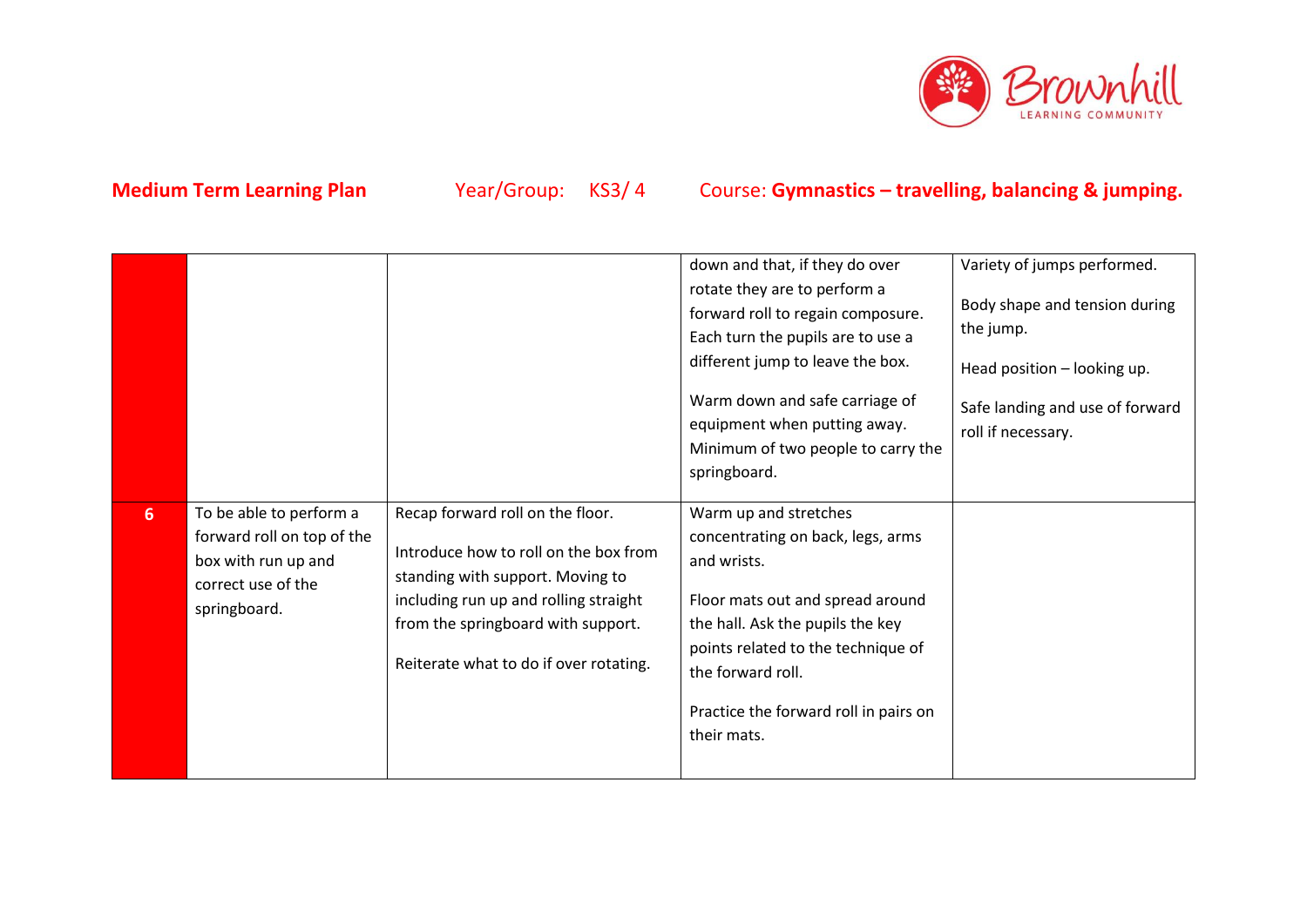

|   |                                                                                                                    |                                                                                                                                                                                                                                        | down and that, if they do over<br>rotate they are to perform a<br>forward roll to regain composure.<br>Each turn the pupils are to use a<br>different jump to leave the box.<br>Warm down and safe carriage of<br>equipment when putting away.<br>Minimum of two people to carry the<br>springboard. | Variety of jumps performed.<br>Body shape and tension during<br>the jump.<br>Head position - looking up.<br>Safe landing and use of forward<br>roll if necessary. |
|---|--------------------------------------------------------------------------------------------------------------------|----------------------------------------------------------------------------------------------------------------------------------------------------------------------------------------------------------------------------------------|------------------------------------------------------------------------------------------------------------------------------------------------------------------------------------------------------------------------------------------------------------------------------------------------------|-------------------------------------------------------------------------------------------------------------------------------------------------------------------|
| 6 | To be able to perform a<br>forward roll on top of the<br>box with run up and<br>correct use of the<br>springboard. | Recap forward roll on the floor.<br>Introduce how to roll on the box from<br>standing with support. Moving to<br>including run up and rolling straight<br>from the springboard with support.<br>Reiterate what to do if over rotating. | Warm up and stretches<br>concentrating on back, legs, arms<br>and wrists.<br>Floor mats out and spread around<br>the hall. Ask the pupils the key<br>points related to the technique of<br>the forward roll.<br>Practice the forward roll in pairs on<br>their mats.                                 |                                                                                                                                                                   |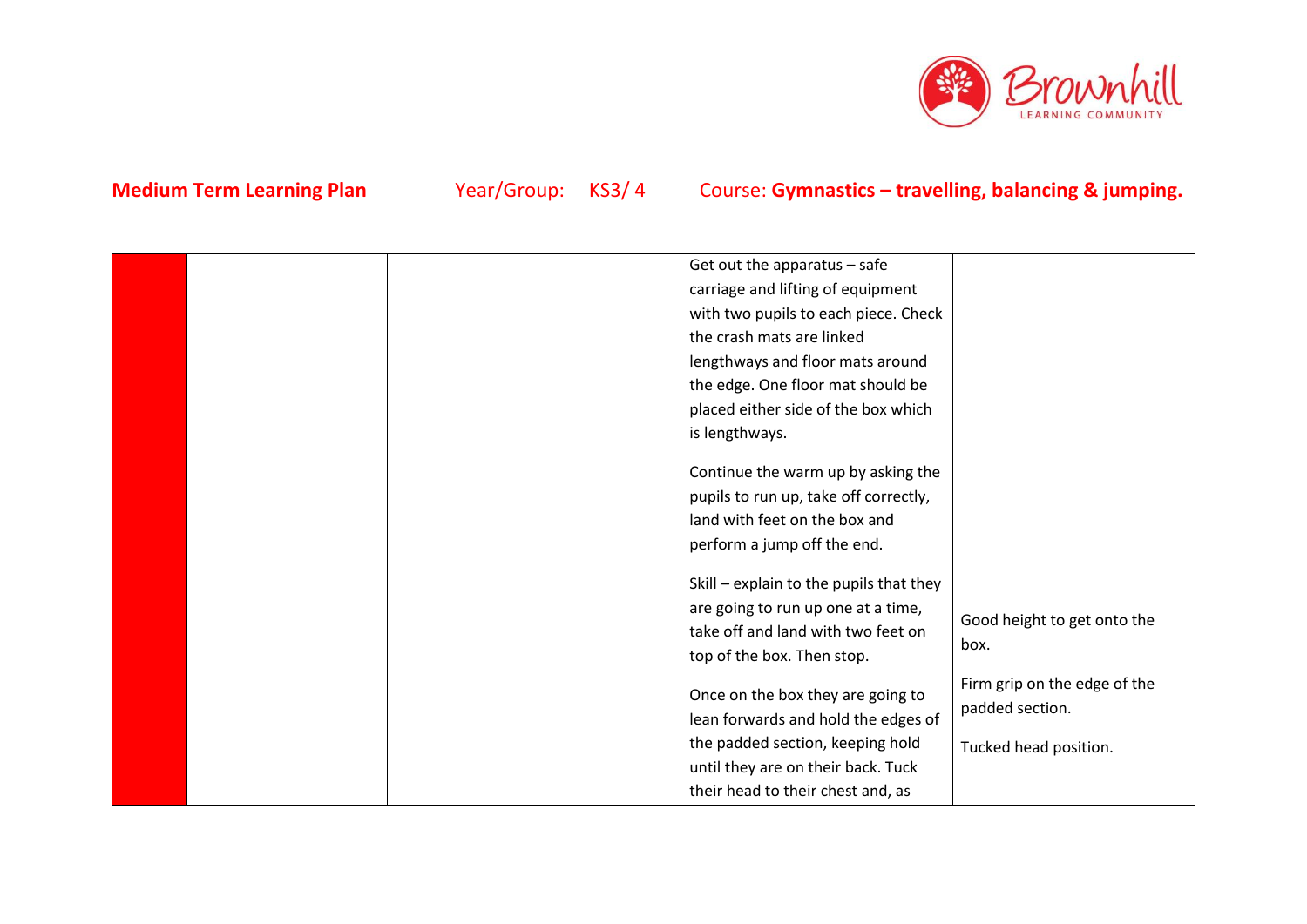

|  | perform a jump off the end.             |                              |
|--|-----------------------------------------|------------------------------|
|  | Skill - explain to the pupils that they |                              |
|  |                                         |                              |
|  | are going to run up one at a time,      | Good height to get onto the  |
|  | take off and land with two feet on      |                              |
|  |                                         | box.                         |
|  | top of the box. Then stop.              |                              |
|  |                                         | Firm grip on the edge of the |
|  | Once on the box they are going to       |                              |
|  | lean forwards and hold the edges of     | padded section.              |
|  |                                         |                              |
|  | the padded section, keeping hold        | Tucked head position.        |
|  | until they are on their back. Tuck      |                              |
|  |                                         |                              |
|  | their head to their chest and, as       |                              |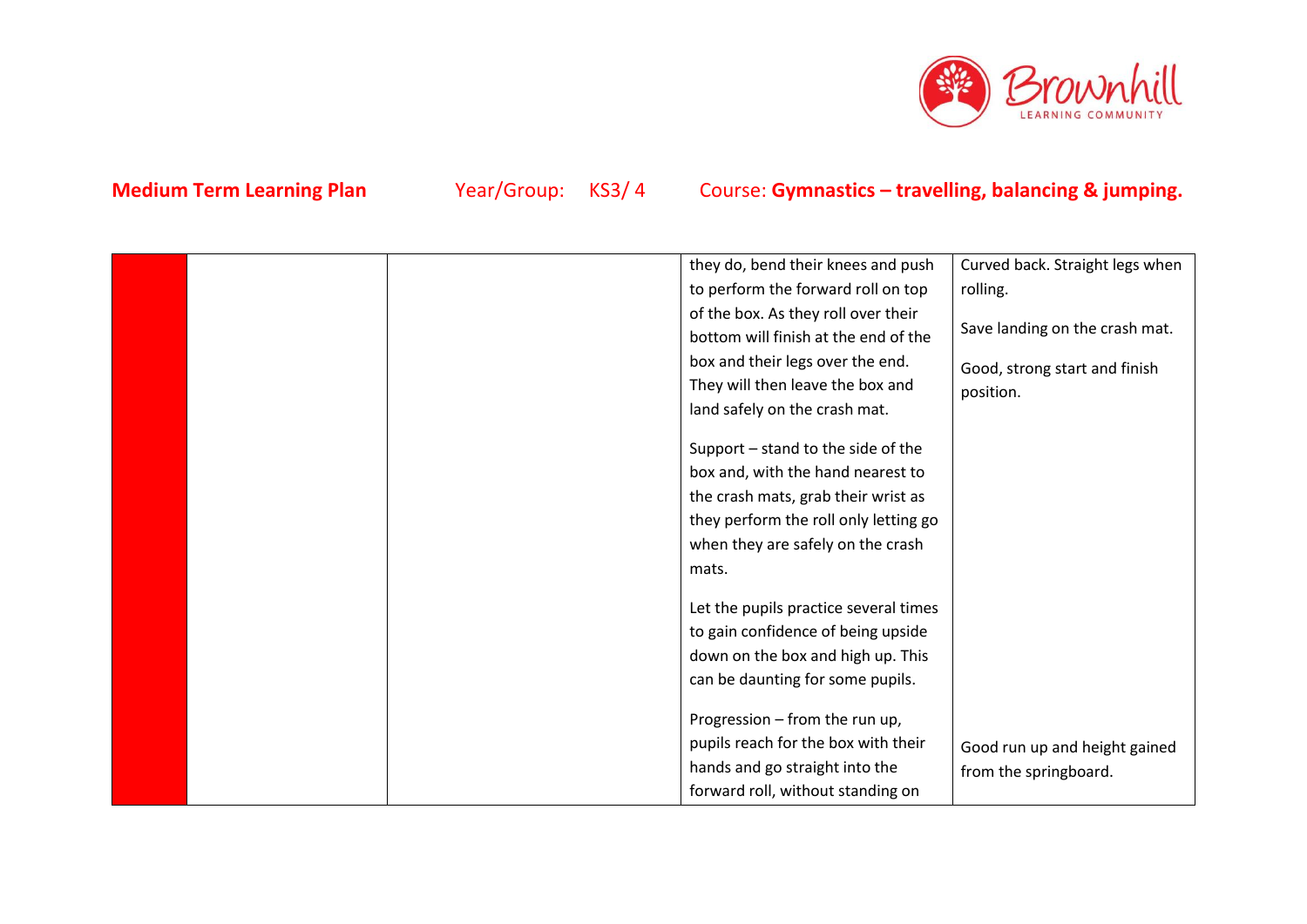

|  | they do, bend their knees and push    | Curved back. Straight legs when |
|--|---------------------------------------|---------------------------------|
|  | to perform the forward roll on top    | rolling.                        |
|  | of the box. As they roll over their   |                                 |
|  | bottom will finish at the end of the  | Save landing on the crash mat.  |
|  | box and their legs over the end.      | Good, strong start and finish   |
|  | They will then leave the box and      | position.                       |
|  | land safely on the crash mat.         |                                 |
|  |                                       |                                 |
|  | Support – stand to the side of the    |                                 |
|  | box and, with the hand nearest to     |                                 |
|  | the crash mats, grab their wrist as   |                                 |
|  | they perform the roll only letting go |                                 |
|  | when they are safely on the crash     |                                 |
|  | mats.                                 |                                 |
|  |                                       |                                 |
|  | Let the pupils practice several times |                                 |
|  | to gain confidence of being upside    |                                 |
|  | down on the box and high up. This     |                                 |
|  | can be daunting for some pupils.      |                                 |
|  |                                       |                                 |
|  | Progression - from the run up,        |                                 |
|  | pupils reach for the box with their   | Good run up and height gained   |
|  | hands and go straight into the        | from the springboard.           |
|  | forward roll, without standing on     |                                 |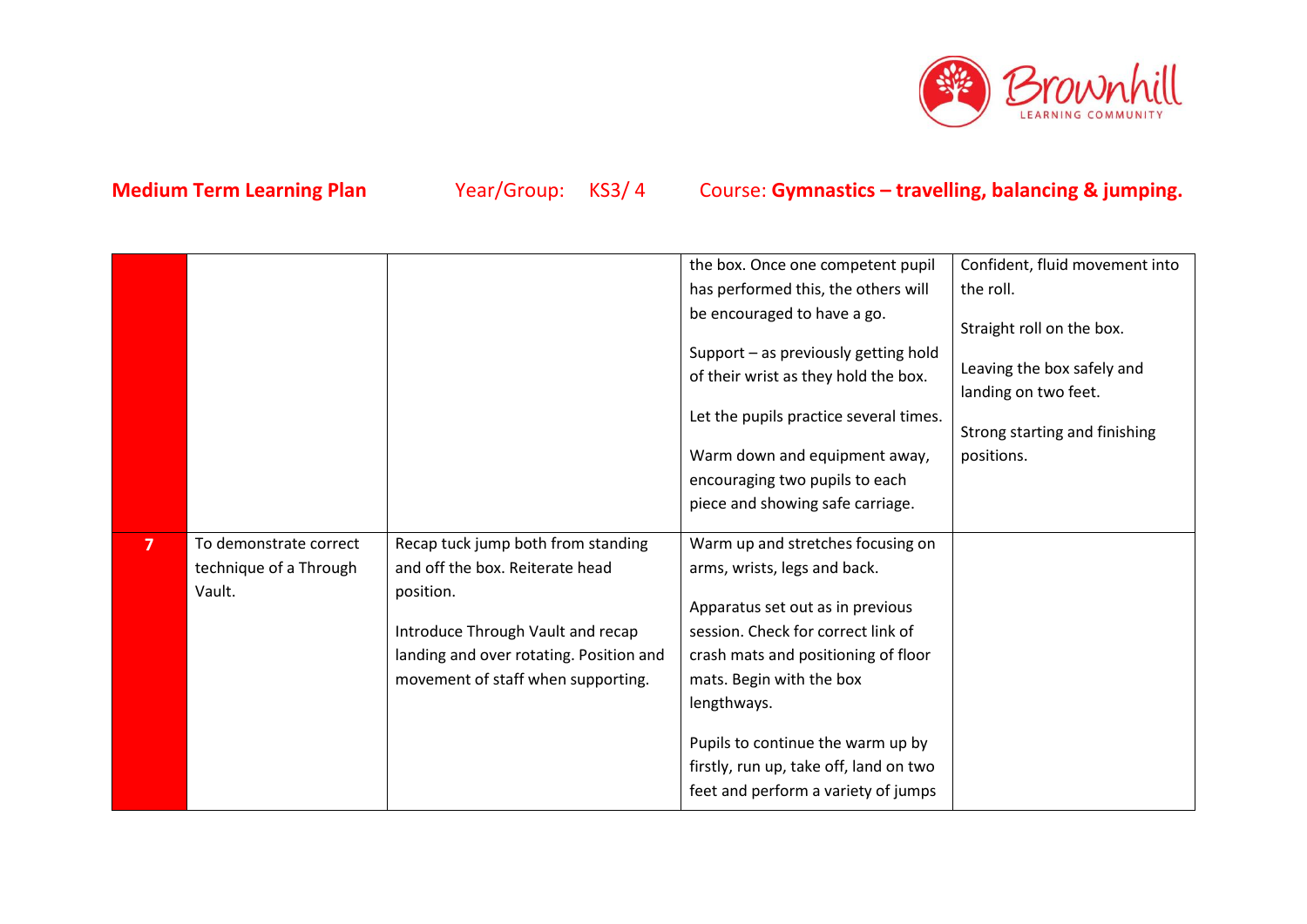

|                |                        |                                         | the box. Once one competent pupil                                                                                                                                                         | Confident, fluid movement into                                                                    |
|----------------|------------------------|-----------------------------------------|-------------------------------------------------------------------------------------------------------------------------------------------------------------------------------------------|---------------------------------------------------------------------------------------------------|
|                |                        |                                         | has performed this, the others will                                                                                                                                                       | the roll.                                                                                         |
|                |                        |                                         | be encouraged to have a go.                                                                                                                                                               | Straight roll on the box.                                                                         |
|                |                        |                                         | Support - as previously getting hold<br>of their wrist as they hold the box.<br>Let the pupils practice several times.<br>Warm down and equipment away,<br>encouraging two pupils to each | Leaving the box safely and<br>landing on two feet.<br>Strong starting and finishing<br>positions. |
|                |                        |                                         | piece and showing safe carriage.                                                                                                                                                          |                                                                                                   |
|                |                        |                                         |                                                                                                                                                                                           |                                                                                                   |
| $\overline{7}$ | To demonstrate correct | Recap tuck jump both from standing      | Warm up and stretches focusing on                                                                                                                                                         |                                                                                                   |
|                | technique of a Through | and off the box. Reiterate head         | arms, wrists, legs and back.                                                                                                                                                              |                                                                                                   |
|                | Vault.                 | position.                               | Apparatus set out as in previous                                                                                                                                                          |                                                                                                   |
|                |                        | Introduce Through Vault and recap       | session. Check for correct link of                                                                                                                                                        |                                                                                                   |
|                |                        | landing and over rotating. Position and | crash mats and positioning of floor                                                                                                                                                       |                                                                                                   |
|                |                        | movement of staff when supporting.      | mats. Begin with the box                                                                                                                                                                  |                                                                                                   |
|                |                        |                                         | lengthways.                                                                                                                                                                               |                                                                                                   |
|                |                        |                                         | Pupils to continue the warm up by                                                                                                                                                         |                                                                                                   |
|                |                        |                                         | firstly, run up, take off, land on two                                                                                                                                                    |                                                                                                   |
|                |                        |                                         | feet and perform a variety of jumps                                                                                                                                                       |                                                                                                   |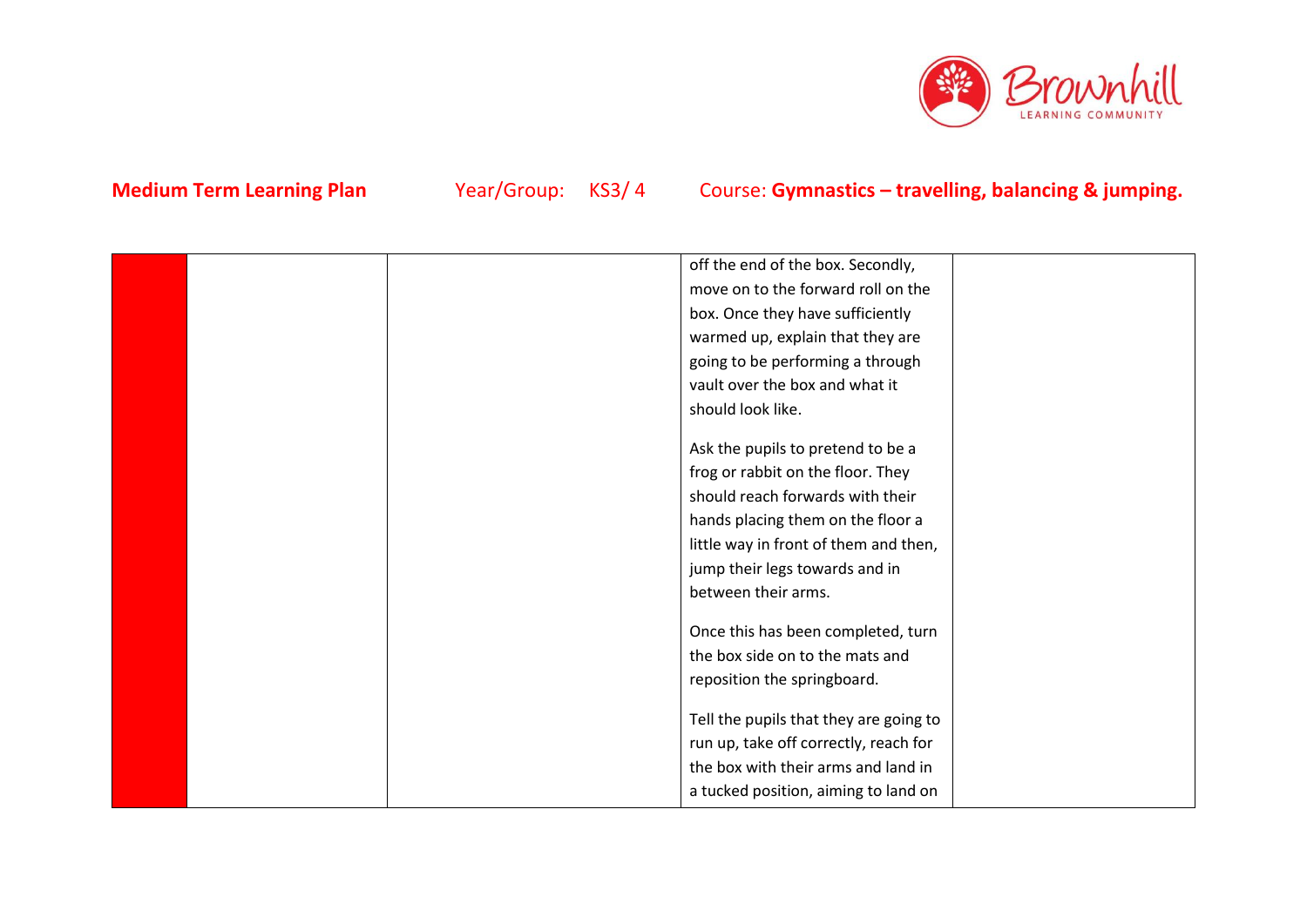

|  | off the end of the box. Secondly,      |  |
|--|----------------------------------------|--|
|  | move on to the forward roll on the     |  |
|  | box. Once they have sufficiently       |  |
|  | warmed up, explain that they are       |  |
|  | going to be performing a through       |  |
|  | vault over the box and what it         |  |
|  | should look like.                      |  |
|  |                                        |  |
|  | Ask the pupils to pretend to be a      |  |
|  | frog or rabbit on the floor. They      |  |
|  | should reach forwards with their       |  |
|  | hands placing them on the floor a      |  |
|  | little way in front of them and then,  |  |
|  | jump their legs towards and in         |  |
|  | between their arms.                    |  |
|  |                                        |  |
|  | Once this has been completed, turn     |  |
|  | the box side on to the mats and        |  |
|  | reposition the springboard.            |  |
|  | Tell the pupils that they are going to |  |
|  | run up, take off correctly, reach for  |  |
|  |                                        |  |
|  | the box with their arms and land in    |  |
|  | a tucked position, aiming to land on   |  |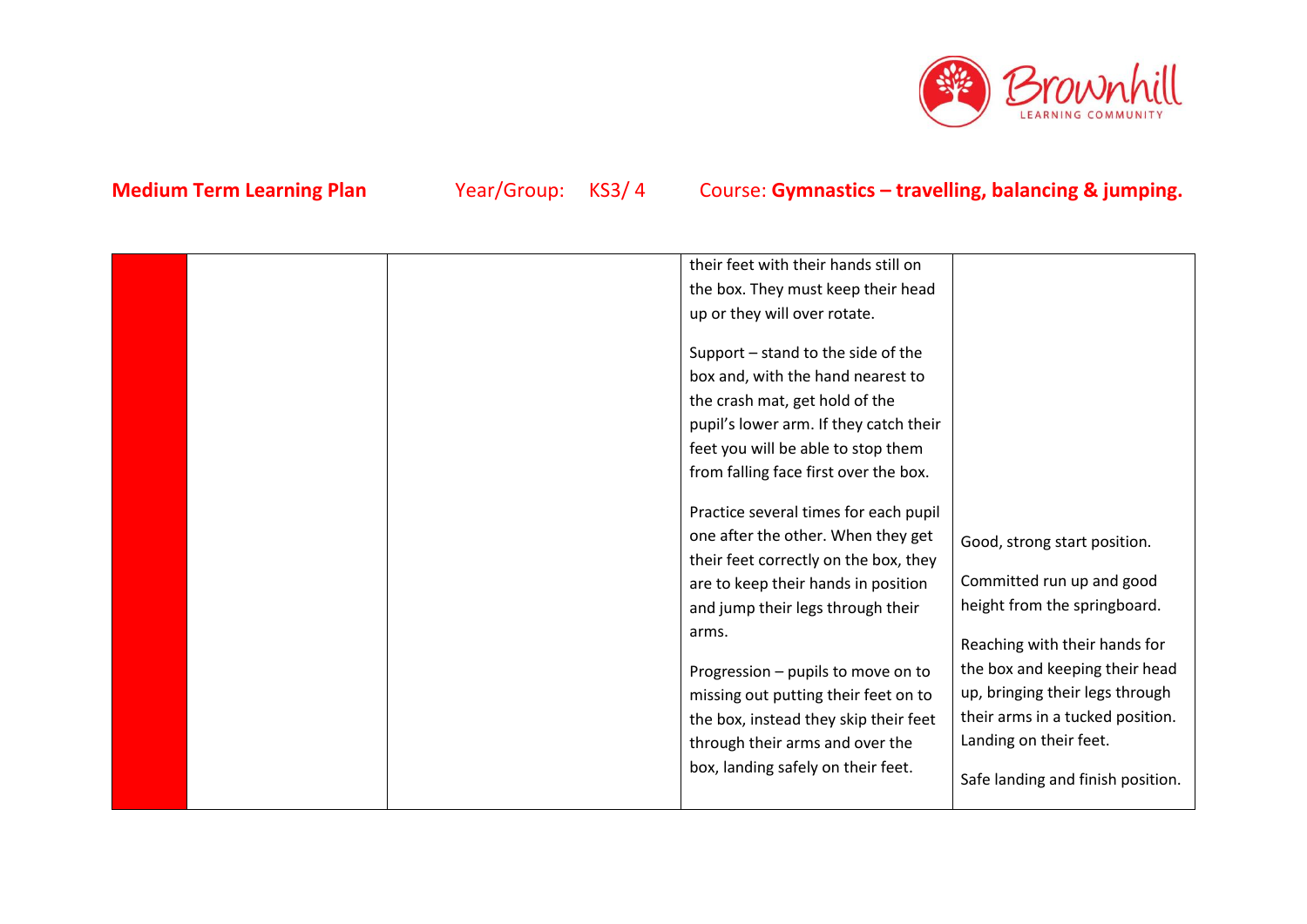

|  | their feet with their hands still on   |                                   |
|--|----------------------------------------|-----------------------------------|
|  | the box. They must keep their head     |                                   |
|  | up or they will over rotate.           |                                   |
|  |                                        |                                   |
|  | Support - stand to the side of the     |                                   |
|  | box and, with the hand nearest to      |                                   |
|  | the crash mat, get hold of the         |                                   |
|  | pupil's lower arm. If they catch their |                                   |
|  | feet you will be able to stop them     |                                   |
|  | from falling face first over the box.  |                                   |
|  |                                        |                                   |
|  | Practice several times for each pupil  |                                   |
|  | one after the other. When they get     | Good, strong start position.      |
|  | their feet correctly on the box, they  |                                   |
|  | are to keep their hands in position    | Committed run up and good         |
|  | and jump their legs through their      | height from the springboard.      |
|  | arms.                                  |                                   |
|  |                                        | Reaching with their hands for     |
|  | Progression - pupils to move on to     | the box and keeping their head    |
|  | missing out putting their feet on to   | up, bringing their legs through   |
|  | the box, instead they skip their feet  | their arms in a tucked position.  |
|  | through their arms and over the        | Landing on their feet.            |
|  | box, landing safely on their feet.     |                                   |
|  |                                        | Safe landing and finish position. |
|  |                                        |                                   |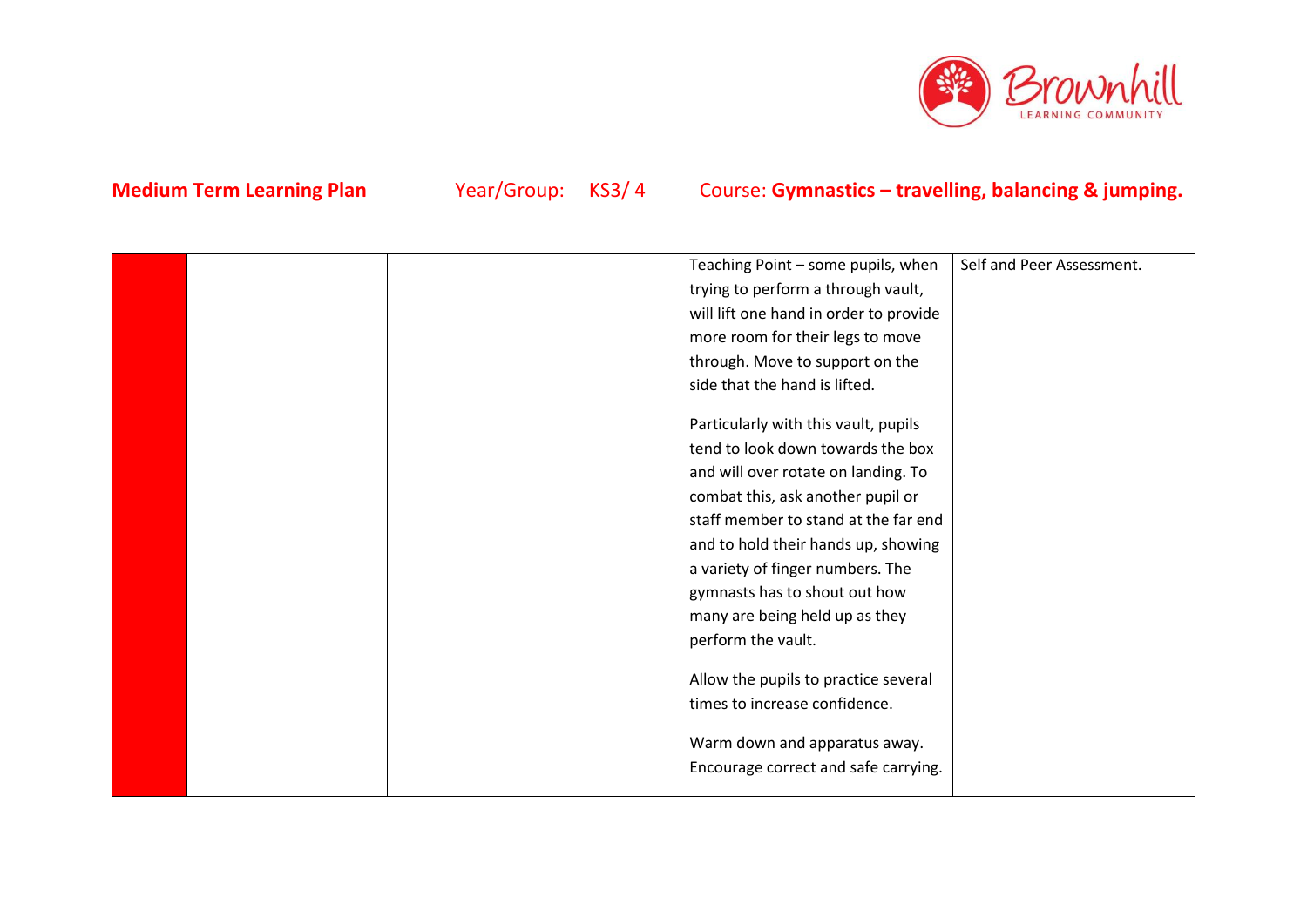

|  | Teaching Point - some pupils, when     | Self and Peer Assessment. |
|--|----------------------------------------|---------------------------|
|  | trying to perform a through vault,     |                           |
|  | will lift one hand in order to provide |                           |
|  | more room for their legs to move       |                           |
|  | through. Move to support on the        |                           |
|  | side that the hand is lifted.          |                           |
|  | Particularly with this vault, pupils   |                           |
|  | tend to look down towards the box      |                           |
|  | and will over rotate on landing. To    |                           |
|  | combat this, ask another pupil or      |                           |
|  | staff member to stand at the far end   |                           |
|  | and to hold their hands up, showing    |                           |
|  | a variety of finger numbers. The       |                           |
|  | gymnasts has to shout out how          |                           |
|  | many are being held up as they         |                           |
|  | perform the vault.                     |                           |
|  | Allow the pupils to practice several   |                           |
|  | times to increase confidence.          |                           |
|  | Warm down and apparatus away.          |                           |
|  | Encourage correct and safe carrying.   |                           |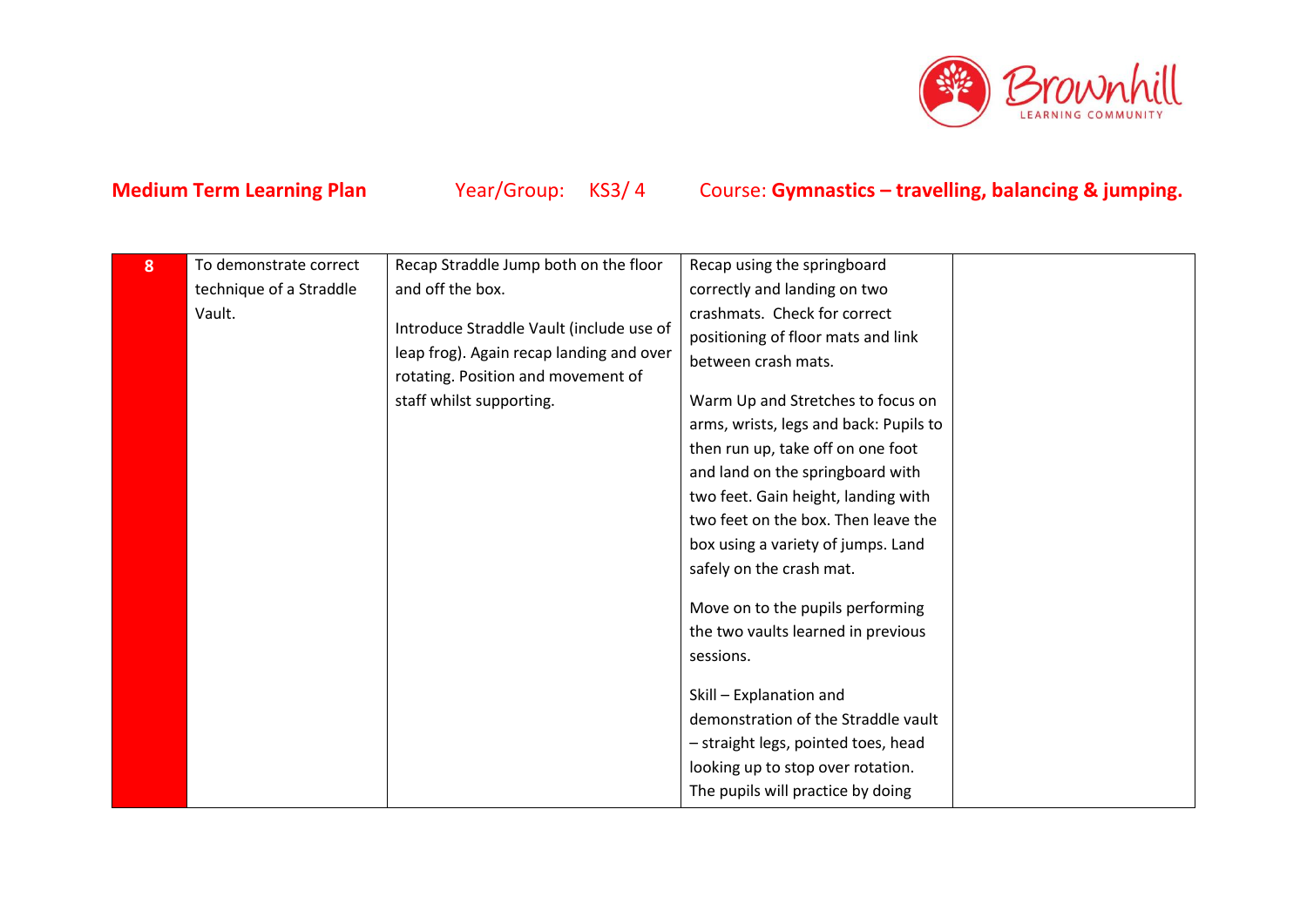

| 8 | To demonstrate correct  | Recap Straddle Jump both on the floor    | Recap using the springboard            |  |
|---|-------------------------|------------------------------------------|----------------------------------------|--|
|   | technique of a Straddle | and off the box.                         | correctly and landing on two           |  |
|   | Vault.                  |                                          | crashmats. Check for correct           |  |
|   |                         | Introduce Straddle Vault (include use of | positioning of floor mats and link     |  |
|   |                         | leap frog). Again recap landing and over | between crash mats.                    |  |
|   |                         | rotating. Position and movement of       |                                        |  |
|   |                         | staff whilst supporting.                 | Warm Up and Stretches to focus on      |  |
|   |                         |                                          | arms, wrists, legs and back: Pupils to |  |
|   |                         |                                          | then run up, take off on one foot      |  |
|   |                         |                                          | and land on the springboard with       |  |
|   |                         |                                          | two feet. Gain height, landing with    |  |
|   |                         |                                          | two feet on the box. Then leave the    |  |
|   |                         |                                          | box using a variety of jumps. Land     |  |
|   |                         |                                          | safely on the crash mat.               |  |
|   |                         |                                          | Move on to the pupils performing       |  |
|   |                         |                                          | the two vaults learned in previous     |  |
|   |                         |                                          | sessions.                              |  |
|   |                         |                                          |                                        |  |
|   |                         |                                          | Skill - Explanation and                |  |
|   |                         |                                          | demonstration of the Straddle vault    |  |
|   |                         |                                          | - straight legs, pointed toes, head    |  |
|   |                         |                                          | looking up to stop over rotation.      |  |
|   |                         |                                          | The pupils will practice by doing      |  |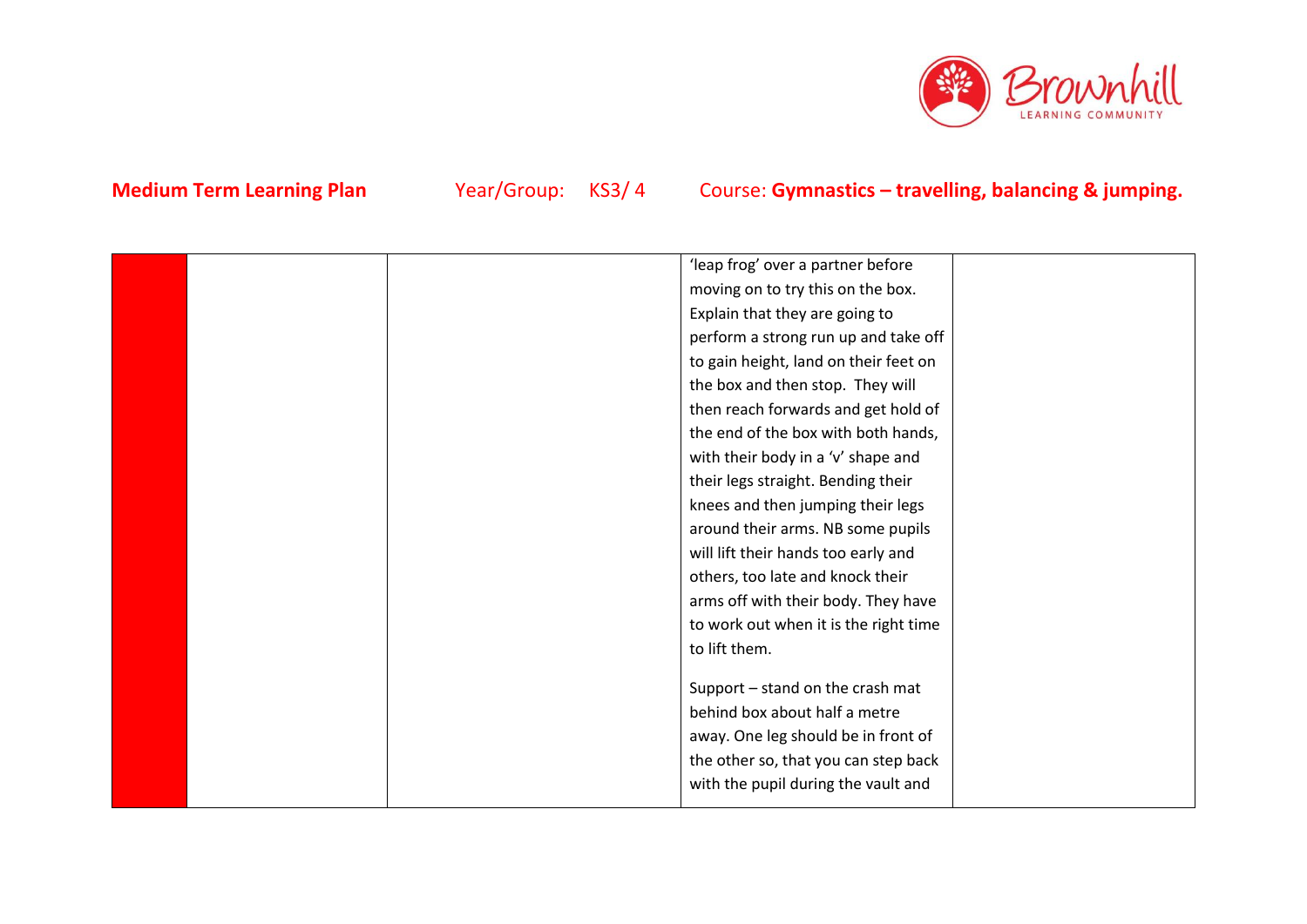

|  | 'leap frog' over a partner before     |  |
|--|---------------------------------------|--|
|  | moving on to try this on the box.     |  |
|  | Explain that they are going to        |  |
|  | perform a strong run up and take off  |  |
|  | to gain height, land on their feet on |  |
|  | the box and then stop. They will      |  |
|  | then reach forwards and get hold of   |  |
|  | the end of the box with both hands,   |  |
|  | with their body in a 'v' shape and    |  |
|  | their legs straight. Bending their    |  |
|  | knees and then jumping their legs     |  |
|  | around their arms. NB some pupils     |  |
|  | will lift their hands too early and   |  |
|  | others, too late and knock their      |  |
|  | arms off with their body. They have   |  |
|  | to work out when it is the right time |  |
|  | to lift them.                         |  |
|  |                                       |  |
|  | Support - stand on the crash mat      |  |
|  | behind box about half a metre         |  |
|  | away. One leg should be in front of   |  |
|  | the other so, that you can step back  |  |
|  | with the pupil during the vault and   |  |
|  |                                       |  |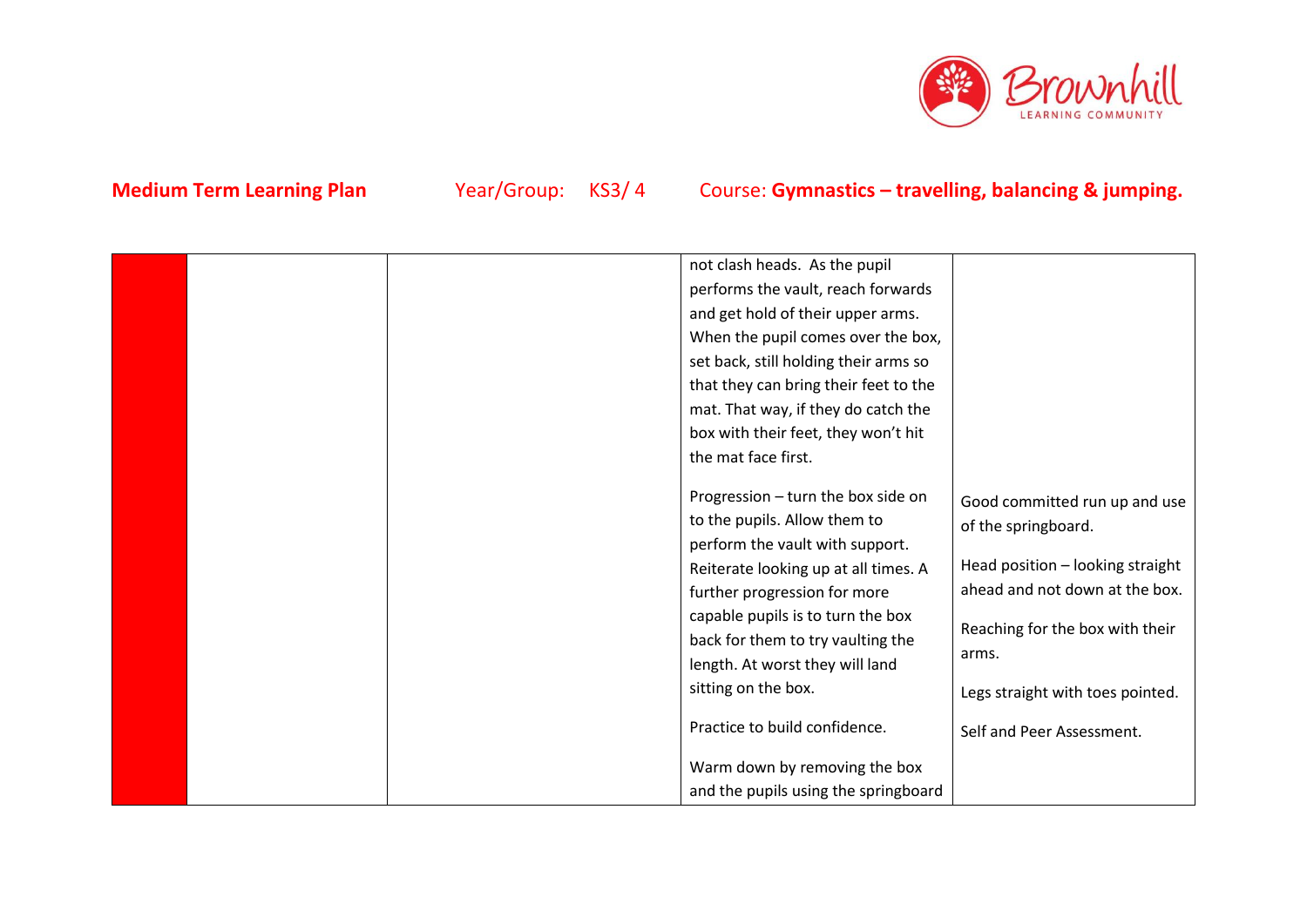

|  | not clash heads. As the pupil         |                                  |
|--|---------------------------------------|----------------------------------|
|  | performs the vault, reach forwards    |                                  |
|  | and get hold of their upper arms.     |                                  |
|  | When the pupil comes over the box,    |                                  |
|  | set back, still holding their arms so |                                  |
|  | that they can bring their feet to the |                                  |
|  | mat. That way, if they do catch the   |                                  |
|  | box with their feet, they won't hit   |                                  |
|  | the mat face first.                   |                                  |
|  |                                       |                                  |
|  | Progression - turn the box side on    | Good committed run up and use    |
|  | to the pupils. Allow them to          | of the springboard.              |
|  | perform the vault with support.       |                                  |
|  | Reiterate looking up at all times. A  | Head position - looking straight |
|  | further progression for more          | ahead and not down at the box.   |
|  | capable pupils is to turn the box     | Reaching for the box with their  |
|  | back for them to try vaulting the     |                                  |
|  | length. At worst they will land       | arms.                            |
|  | sitting on the box.                   | Legs straight with toes pointed. |
|  |                                       |                                  |
|  | Practice to build confidence.         | Self and Peer Assessment.        |
|  | Warm down by removing the box         |                                  |
|  | and the pupils using the springboard  |                                  |
|  |                                       |                                  |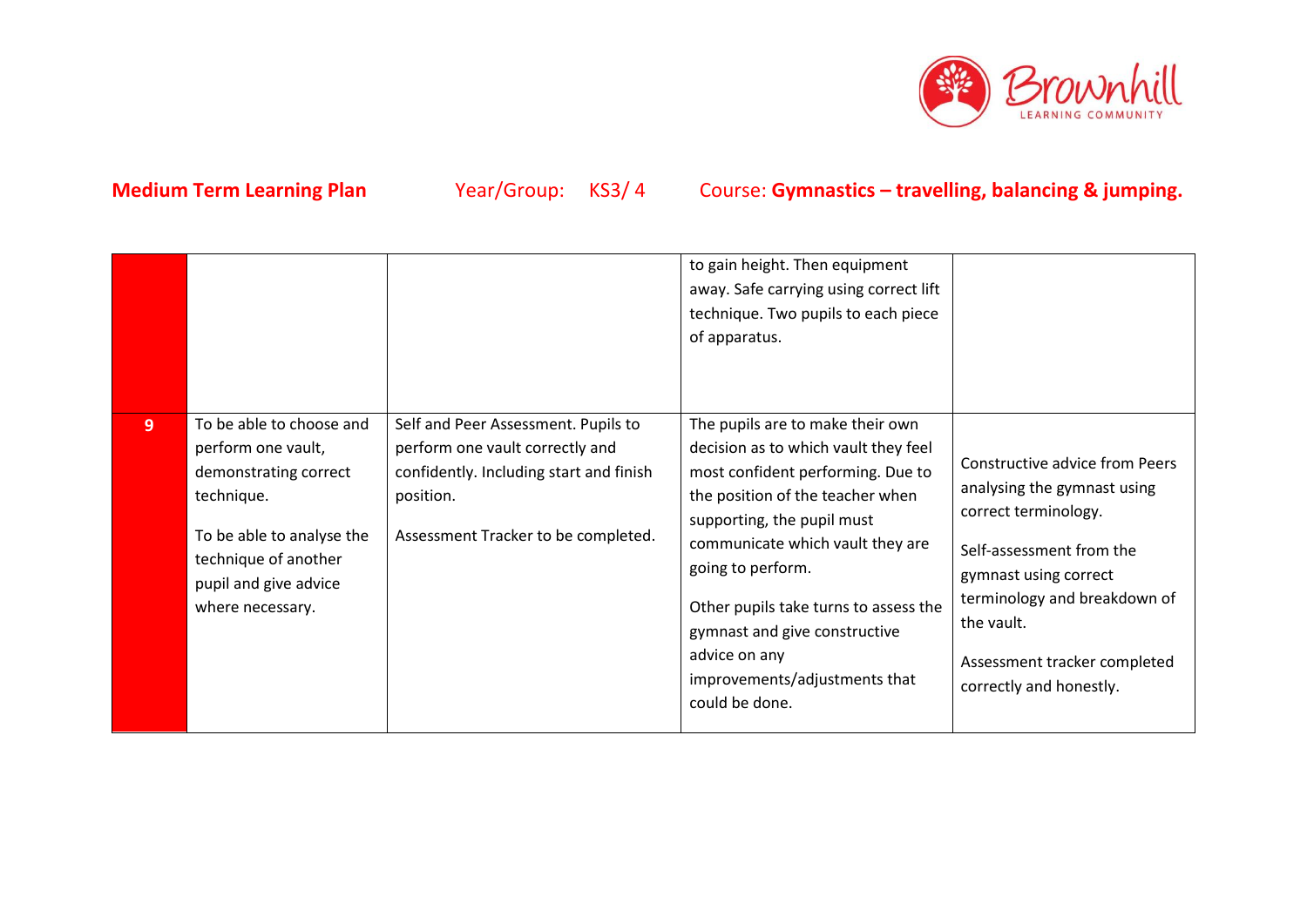

|                |                                                                                                                                                                                         |                                                                                                                                                                       | to gain height. Then equipment<br>away. Safe carrying using correct lift<br>technique. Two pupils to each piece<br>of apparatus.                                                                                                                                                                                                                                                       |                                                                                                                                                                                                                                                            |
|----------------|-----------------------------------------------------------------------------------------------------------------------------------------------------------------------------------------|-----------------------------------------------------------------------------------------------------------------------------------------------------------------------|----------------------------------------------------------------------------------------------------------------------------------------------------------------------------------------------------------------------------------------------------------------------------------------------------------------------------------------------------------------------------------------|------------------------------------------------------------------------------------------------------------------------------------------------------------------------------------------------------------------------------------------------------------|
| 9 <sup>°</sup> | To be able to choose and<br>perform one vault,<br>demonstrating correct<br>technique.<br>To be able to analyse the<br>technique of another<br>pupil and give advice<br>where necessary. | Self and Peer Assessment. Pupils to<br>perform one vault correctly and<br>confidently. Including start and finish<br>position.<br>Assessment Tracker to be completed. | The pupils are to make their own<br>decision as to which vault they feel<br>most confident performing. Due to<br>the position of the teacher when<br>supporting, the pupil must<br>communicate which vault they are<br>going to perform.<br>Other pupils take turns to assess the<br>gymnast and give constructive<br>advice on any<br>improvements/adjustments that<br>could be done. | <b>Constructive advice from Peers</b><br>analysing the gymnast using<br>correct terminology.<br>Self-assessment from the<br>gymnast using correct<br>terminology and breakdown of<br>the vault.<br>Assessment tracker completed<br>correctly and honestly. |